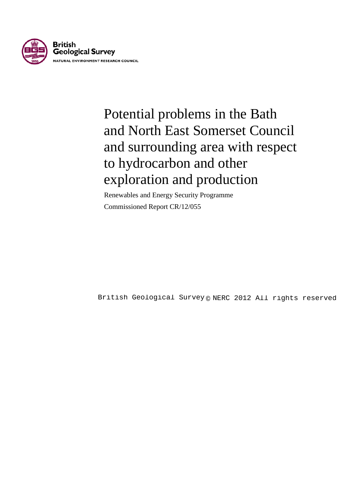

# Potential problems in the Bath and North East Somerset Council and surrounding area with respect to hydrocarbon and other exploration and production

Renewables and Energy Security Programme Commissioned Report CR/12/055

British Geological Survey @ NERC 2012 All rights reserved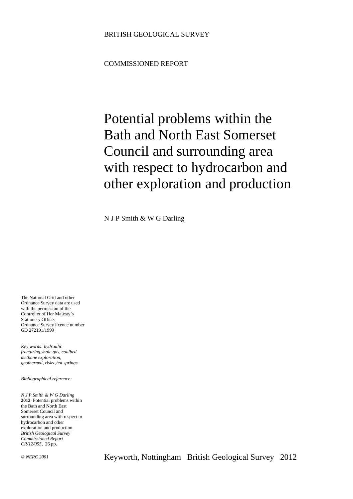### COMMISSIONED REPORT

# Potential problems within the Bath and North East Somerset Council and surrounding area with respect to hydrocarbon and other exploration and production

N J P Smith & W G Darling

The National Grid and other Ordnance Survey data are used with the permission of the Controller of Her Majesty's Stationery Office. Ordnance Survey licence number GD 272191/1999

*Key words: hydraulic fracturing,shale gas, coalbed methane exploration, geothermal, risks ,hot springs.* 

*Bibliographical reference:*

*N J P Smith & W G Darling*  **2012**. Potential problems within the Bath and North East Somerset Council and surrounding area with respect to hydrocarbon and other exploration and production. *British Geological Survey Commissioned Report CR/12/055*, 26 pp.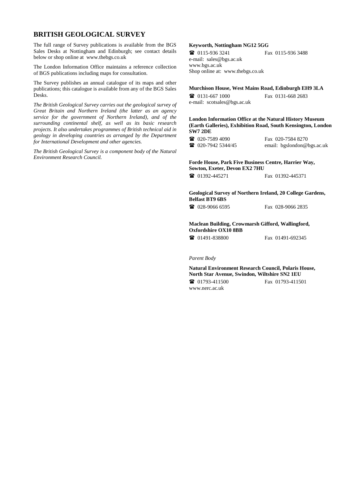#### **BRITISH GEOLOGICAL SURVEY**

The full range of Survey publications is available from the BGS Sales Desks at Nottingham and Edinburgh; see contact details below or shop online at www.thebgs.co.uk

The London Information Office maintains a reference collection of BGS publications including maps for consultation.

The Survey publishes an annual catalogue of its maps and other publications; this catalogue is available from any of the BGS Sales Desks.

*The British Geological Survey carries out the geological survey of Great Britain and Northern Ireland (the latter as an agency service for the government of Northern Ireland), and of the surrounding continental shelf, as well as its basic research projects. It also undertakes programmes of British technical aid in geology in developing countries as arranged by the Department for International Development and other agencies.*

*The British Geological Survey is a component body of the Natural Environment Research Council.*

#### **Keyworth, Nottingham NG12 5GG**

 0115-936 3241 Fax 0115-936 3488 e-mail: sales@bgs.ac.uk www.bgs.ac.uk Shop online at: www.thebgs.co.uk

#### **Murchison House, West Mains Road, Edinburgh EH9 3LA**

 0131-667 1000 Fax 0131-668 2683 e-mail: scotsales@bgs.ac.uk

**London Information Office at the Natural History Museum (Earth Galleries), Exhibition Road, South Kensington, London SW7 2DE**

**12** 020-7589 4090 Fax 020-7584 8270<br>**12** 020-7942 5344/45 email: beslondon@ email: bgslondon@bgs.ac.uk

#### **Forde House, Park Five Business Centre, Harrier Way, Sowton, Exeter, Devon EX2 7HU**

**■** 01392-445271 Fax 01392-445371

**Geological Survey of Northern Ireland, 20 College Gardens, Belfast BT9 6BS**

028-9066 6595 Fax 028-9066 2835

#### **Maclean Building, Crowmarsh Gifford, Wallingford, Oxfordshire OX10 8BB**

**1** 01491-838800 Fax 01491-692345

#### *Parent Body*

**Natural Environment Research Council, Polaris House, North Star Avenue, Swindon, Wiltshire SN2 1EU** 01793-411500 Fax 01793-411501 www.nerc.ac.uk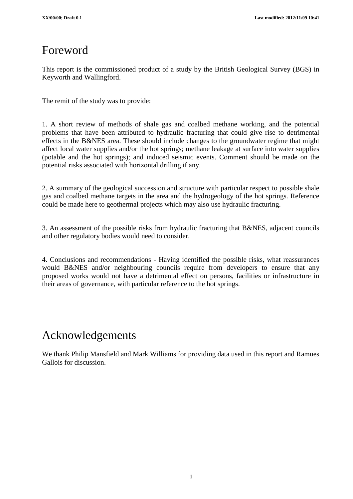# Foreword

This report is the commissioned product of a study by the British Geological Survey (BGS) in Keyworth and Wallingford.

The remit of the study was to provide:

1. A short review of methods of shale gas and coalbed methane working, and the potential problems that have been attributed to hydraulic fracturing that could give rise to detrimental effects in the B&NES area. These should include changes to the groundwater regime that might affect local water supplies and/or the hot springs; methane leakage at surface into water supplies (potable and the hot springs); and induced seismic events. Comment should be made on the potential risks associated with horizontal drilling if any.

2. A summary of the geological succession and structure with particular respect to possible shale gas and coalbed methane targets in the area and the hydrogeology of the hot springs. Reference could be made here to geothermal projects which may also use hydraulic fracturing.

3. An assessment of the possible risks from hydraulic fracturing that B&NES, adjacent councils and other regulatory bodies would need to consider.

4. Conclusions and recommendations - Having identified the possible risks, what reassurances would B&NES and/or neighbouring councils require from developers to ensure that any proposed works would not have a detrimental effect on persons, facilities or infrastructure in their areas of governance, with particular reference to the hot springs.

# Acknowledgements

We thank Philip Mansfield and Mark Williams for providing data used in this report and Ramues Gallois for discussion.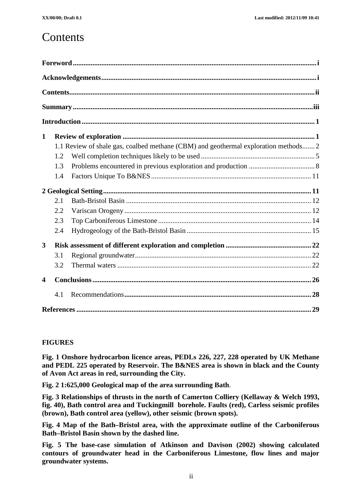### **Contents**

| $\mathbf{1}$            |                                                                                     |  |  |  |  |  |
|-------------------------|-------------------------------------------------------------------------------------|--|--|--|--|--|
|                         | 1.1 Review of shale gas, coalbed methane (CBM) and geothermal exploration methods 2 |  |  |  |  |  |
|                         | 1.2                                                                                 |  |  |  |  |  |
|                         | 1.3                                                                                 |  |  |  |  |  |
|                         | 1.4                                                                                 |  |  |  |  |  |
|                         |                                                                                     |  |  |  |  |  |
|                         | 2.1                                                                                 |  |  |  |  |  |
|                         | 2.2                                                                                 |  |  |  |  |  |
|                         | 2.3                                                                                 |  |  |  |  |  |
|                         | 2.4                                                                                 |  |  |  |  |  |
| 3                       |                                                                                     |  |  |  |  |  |
|                         | 3.1                                                                                 |  |  |  |  |  |
|                         | 3.2                                                                                 |  |  |  |  |  |
| $\overline{\mathbf{4}}$ |                                                                                     |  |  |  |  |  |
|                         | 4.1                                                                                 |  |  |  |  |  |
|                         |                                                                                     |  |  |  |  |  |

#### **FIGURES**

**Fig. 1 Onshore hydrocarbon licence areas, PEDLs 226, 227, 228 operated by UK Methane and PEDL 225 operated by Reservoir. The B&NES area is shown in black and the County of Avon Act areas in red, surrounding the City.**

**Fig. 2 1:625,000 Geological map of the area surrounding Bath**.

**Fig. 3 Relationships of thrusts in the north of Camerton Colliery (Kellaway & Welch 1993, fig. 40), Bath control area and Tuckingmill borehole. Faults (red), Carless seismic profiles (brown), Bath control area (yellow), other seismic (brown spots).**

**Fig. 4 Map of the Bath–Bristol area, with the approximate outline of the Carboniferous Bath–Bristol Basin shown by the dashed line.**

**Fig. 5 The base-case simulation of Atkinson and Davison (2002) showing calculated contours of groundwater head in the Carboniferous Limestone, flow lines and major groundwater systems.**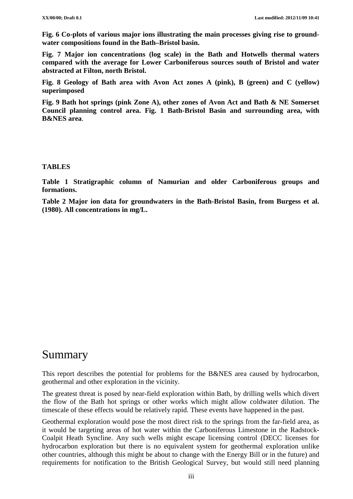**Fig. 6 Co-plots of various major ions illustrating the main processes giving rise to groundwater compositions found in the Bath–Bristol basin.**

**Fig. 7 Major ion concentrations (log scale) in the Bath and Hotwells thermal waters compared with the average for Lower Carboniferous sources south of Bristol and water abstracted at Filton, north Bristol.**

**Fig. 8 Geology of Bath area with Avon Act zones A (pink), B (green) and C (yellow) superimposed**

**Fig. 9 Bath hot springs (pink Zone A), other zones of Avon Act and Bath & NE Somerset Council planning control area. Fig. 1 Bath-Bristol Basin and surrounding area, with B&NES area**.

#### **TABLES**

**Table 1 Stratigraphic column of Namurian and older Carboniferous groups and formations.**

**Table 2 Major ion data for groundwaters in the Bath-Bristol Basin, from Burgess et al. (1980). All concentrations in mg/L.** 

### Summary

This report describes the potential for problems for the B&NES area caused by hydrocarbon, geothermal and other exploration in the vicinity.

The greatest threat is posed by near-field exploration within Bath, by drilling wells which divert the flow of the Bath hot springs or other works which might allow coldwater dilution. The timescale of these effects would be relatively rapid. These events have happened in the past.

Geothermal exploration would pose the most direct risk to the springs from the far-field area, as it would be targeting areas of hot water within the Carboniferous Limestone in the Radstock-Coalpit Heath Syncline. Any such wells might escape licensing control (DECC licenses for hydrocarbon exploration but there is no equivalent system for geothermal exploration unlike other countries, although this might be about to change with the Energy Bill or in the future) and requirements for notification to the British Geological Survey, but would still need planning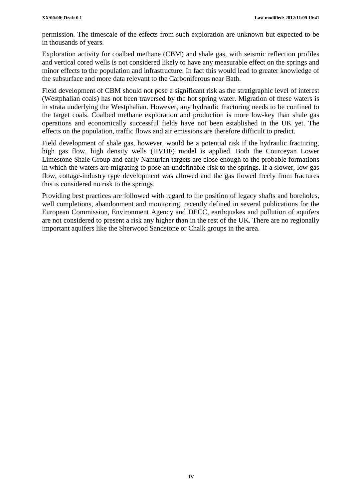permission. The timescale of the effects from such exploration are unknown but expected to be in thousands of years.

Exploration activity for coalbed methane (CBM) and shale gas, with seismic reflection profiles and vertical cored wells is not considered likely to have any measurable effect on the springs and minor effects to the population and infrastructure. In fact this would lead to greater knowledge of the subsurface and more data relevant to the Carboniferous near Bath.

Field development of CBM should not pose a significant risk as the stratigraphic level of interest (Westphalian coals) has not been traversed by the hot spring water. Migration of these waters is in strata underlying the Westphalian. However, any hydraulic fracturing needs to be confined to the target coals. Coalbed methane exploration and production is more low-key than shale gas operations and economically successful fields have not been established in the UK yet. The effects on the population, traffic flows and air emissions are therefore difficult to predict.

Field development of shale gas, however, would be a potential risk if the hydraulic fracturing, high gas flow, high density wells (HVHF) model is applied. Both the Courceyan Lower Limestone Shale Group and early Namurian targets are close enough to the probable formations in which the waters are migrating to pose an undefinable risk to the springs. If a slower, low gas flow, cottage-industry type development was allowed and the gas flowed freely from fractures this is considered no risk to the springs.

Providing best practices are followed with regard to the position of legacy shafts and boreholes, well completions, abandonment and monitoring, recently defined in several publications for the European Commission, Environment Agency and DECC, earthquakes and pollution of aquifers are not considered to present a risk any higher than in the rest of the UK. There are no regionally important aquifers like the Sherwood Sandstone or Chalk groups in the area.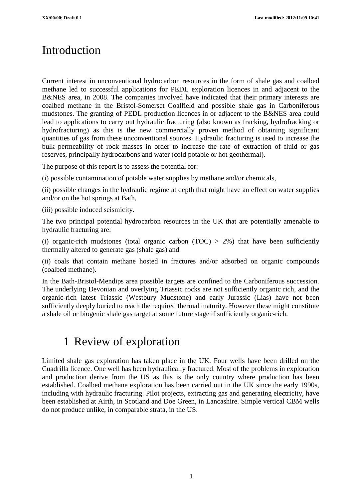# Introduction

Current interest in unconventional hydrocarbon resources in the form of shale gas and coalbed methane led to successful applications for PEDL exploration licences in and adjacent to the B&NES area, in 2008. The companies involved have indicated that their primary interests are coalbed methane in the Bristol-Somerset Coalfield and possible shale gas in Carboniferous mudstones. The granting of PEDL production licences in or adjacent to the B&NES area could lead to applications to carry out hydraulic fracturing (also known as fracking, hydrofracking or hydrofracturing) as this is the new commercially proven method of obtaining significant quantities of gas from these unconventional sources. Hydraulic fracturing is used to increase the bulk permeability of rock masses in order to increase the rate of extraction of fluid or gas reserves, principally hydrocarbons and water (cold potable or hot geothermal).

The purpose of this report is to assess the potential for:

(i) possible contamination of potable water supplies by methane and/or chemicals,

(ii) possible changes in the hydraulic regime at depth that might have an effect on water supplies and/or on the hot springs at Bath,

(iii) possible induced seismicity.

The two principal potential hydrocarbon resources in the UK that are potentially amenable to hydraulic fracturing are:

(i) organic-rich mudstones (total organic carbon  $(TOC) > 2%$ ) that have been sufficiently thermally altered to generate gas (shale gas) and

(ii) coals that contain methane hosted in fractures and/or adsorbed on organic compounds (coalbed methane).

In the Bath-Bristol-Mendips area possible targets are confined to the Carboniferous succession. The underlying Devonian and overlying Triassic rocks are not sufficiently organic rich, and the organic-rich latest Triassic (Westbury Mudstone) and early Jurassic (Lias) have not been sufficiently deeply buried to reach the required thermal maturity. However these might constitute a shale oil or biogenic shale gas target at some future stage if sufficiently organic-rich.

## 1 Review of exploration

Limited shale gas exploration has taken place in the UK. Four wells have been drilled on the Cuadrilla licence. One well has been hydraulically fractured. Most of the problems in exploration and production derive from the US as this is the only country where production has been established. Coalbed methane exploration has been carried out in the UK since the early 1990s, including with hydraulic fracturing. Pilot projects, extracting gas and generating electricity, have been established at Airth, in Scotland and Doe Green, in Lancashire. Simple vertical CBM wells do not produce unlike, in comparable strata, in the US.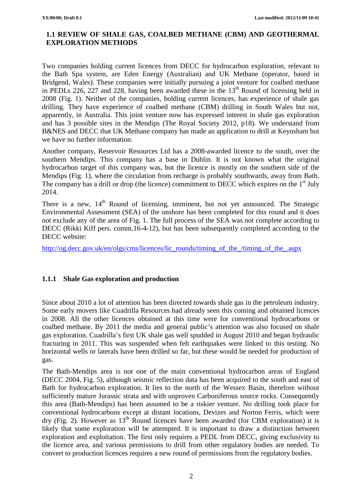#### **1.1 REVIEW OF SHALE GAS, COALBED METHANE (CBM) AND GEOTHERMAL EXPLORATION METHODS**

Two companies holding current licences from DECC for hydrocarbon exploration, relevant to the Bath Spa system, are Eden Energy (Australian) and UK Methane (operator, based in Bridgend, Wales). These companies were initially pursuing a joint venture for coalbed methane in PEDLs 226, 227 and 228, having been awarded these in the  $13<sup>th</sup>$  Round of licensing held in 2008 (Fig. 1). Neither of the companies, holding current licences, has experience of shale gas drilling. They have experience of coalbed methane (CBM) drilling in South Wales but not, apparently, in Australia. This joint venture now has expressed interest in shale gas exploration and has 3 possible sites in the Mendips (The Royal Society 2012, p18). We understand from B&NES and DECC that UK Methane company has made an application to drill at Keynsham but we have no further information.

Another company, Reservoir Resources Ltd has a 2008-awarded licence to the south, over the southern Mendips. This company has a base in Dublin. It is not known what the original hydrocarbon target of this company was, but the licence is mostly on the southern side of the Mendips (Fig. 1), where the circulation from recharge is probably southwards, away from Bath. The company has a drill or drop (the licence) commitment to DECC which expires on the  $1<sup>st</sup>$  July 2014.

There is a new,  $14<sup>th</sup>$  Round of licensing, imminent, but not yet announced. The Strategic Environmental Assessment (SEA) of the onshore has been completed for this round and it does not exclude any of the area of Fig. 1. The full process of the SEA was not complete according to DECC (Rikki Kiff pers. comm.16-4-12), but has been subsequently completed according to the DECC website:

[http://og.decc.gov.uk/en/olgs/cms/licences/lic\\_rounds/timing\\_of\\_the\\_/timing\\_of\\_the\\_.aspx](http://og.decc.gov.uk/en/olgs/cms/licences/lic_rounds/timing_of_the_/timing_of_the_.aspx)

#### **1.1.1 Shale Gas exploration and production**

Since about 2010 a lot of attention has been directed towards shale gas in the petroleum industry. Some early movers like Cuadrilla Resources had already seen this coming and obtained licences in 2008. All the other licences obtained at this time were for conventional hydrocarbons or coalbed methane. By 2011 the media and general public's attention was also focused on shale gas exploration. Cuadrilla's first UK shale gas well spudded in August 2010 and began hydraulic fracturing in 2011. This was suspended when felt earthquakes were linked to this testing. No horizontal wells or laterals have been drilled so far, but these would be needed for production of gas.

The Bath-Mendips area is not one of the main conventional hydrocarbon areas of England (DECC 2004, Fig. 5), although seismic reflection data has been acquired to the south and east of Bath for hydrocarbon exploration. It lies to the north of the Wessex Basin, therefore without sufficiently mature Jurassic strata and with unproven Carboniferous source rocks. Consequently this area (Bath-Mendips) has been assumed to be a riskier venture. No drilling took place for conventional hydrocarbons except at distant locations, Devizes and Norton Ferris, which were dry (Fig. 2). However as  $13<sup>th</sup>$  Round licences have been awarded (for CBM exploration) it is likely that some exploration will be attempted. It is important to draw a distinction between exploration and exploitation. The first only requires a PEDL from DECC, giving exclusivity to the licence area, and various permissions to drill from other regulatory bodies are needed. To convert to production licences requires a new round of permissions from the regulatory bodies.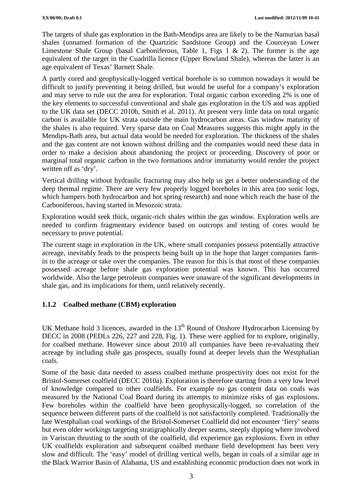The targets of shale gas exploration in the Bath-Mendips area are likely to be the Namurian basal shales (unnamed formation of the Quartzitic Sandstone Group) and the Courceyan Lower Limestone Shale Group (basal Carboniferous, Table 1, Figs  $1 \& 2$ ). The former is the age equivalent of the target in the Cuadrilla licence (Upper Bowland Shale), whereas the latter is an age equivalent of Texas' Barnett Shale.

A partly cored and geophysically-logged vertical borehole is so common nowadays it would be difficult to justify preventing it being drilled, but would be useful for a company's exploration and may serve to rule out the area for exploration. Total organic carbon exceeding 2% is one of the key elements to successful conventional and shale gas exploration in the US and was applied to the UK data set (DECC 2010b, Smith et al. 2011). At present very little data on total organic carbon is available for UK strata outside the main hydrocarbon areas. Gas window maturity of the shales is also required. Very sparse data on Coal Measures suggests this might apply in the Mendips-Bath area, but actual data would be needed for exploration. The thickness of the shales and the gas content are not known without drilling and the companies would need these data in order to make a decision about abandoning the project or proceeding. Discovery of poor or marginal total organic carbon in the two formations and/or immaturity would render the project written off as 'dry'.

Vertical drilling without hydraulic fracturing may also help us get a better understanding of the deep thermal regime. There are very few properly logged boreholes in this area (no sonic logs, which hampers both hydrocarbon and hot spring research) and none which reach the base of the Carboniferous, having started in Mesozoic strata.

Exploration would seek thick, organic-rich shales within the gas window. Exploration wells are needed to confirm fragmentary evidence based on outcrops and testing of cores would be necessary to prove potential.

The current stage in exploration in the UK, where small companies possess potentially attractive acreage, inevitably leads to the prospects being built up in the hope that larger companies farmin to the acreage or take over the companies. The reason for this is that most of these companies possessed acreage before shale gas exploration potential was known. This has occurred worldwide. Also the large petroleum companies were unaware of the significant developments in shale gas, and its implications for them, until relatively recently.

#### **1.1.2 Coalbed methane (CBM) exploration**

UK Methane hold 3 licences, awarded in the  $13<sup>th</sup>$  Round of Onshore Hydrocarbon Licensing by DECC in 2008 (PEDLs 226, 227 and 228, Fig. 1). These were applied for to explore, originally, for coalbed methane. However since about 2010 all companies have been re-evaluating their acreage by including shale gas prospects, usually found at deeper levels than the Westphalian coals.

Some of the basic data needed to assess coalbed methane prospectivity does not exist for the Bristol-Somerset coalfield (DECC 2010a). Exploration is therefore starting from a very low level of knowledge compared to other coalfields. For example no gas content data on coals was measured by the National Coal Board during its attempts to minimize risks of gas explosions. Few boreholes within the coalfield have been geophysically-logged, so correlation of the sequence between different parts of the coalfield is not satisfactorily completed. Traditionally the late Westphalian coal workings of the Bristol-Somerset Coalfield did not encounter 'fiery' seams but even older workings targeting stratigraphically deeper seams, steeply dipping where involved in Variscan thrusting to the south of the coalfield, did experience gas explosions. Even in other UK coalfields exploration and subsequent coalbed methane field development has been very slow and difficult. The 'easy' model of drilling vertical wells, began in coals of a similar age in the Black Warrior Basin of Alabama, US and establishing economic production does not work in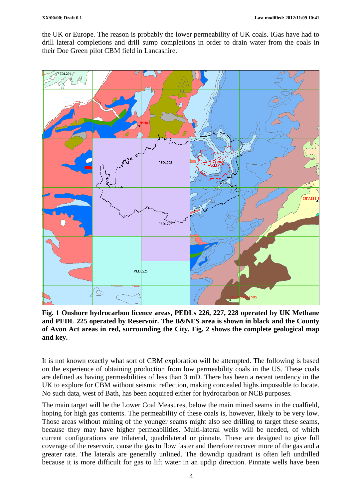the UK or Europe. The reason is probably the lower permeability of UK coals. IGas have had to drill lateral completions and drill sump completions in order to drain water from the coals in their Doe Green pilot CBM field in Lancashire.



**Fig. 1 Onshore hydrocarbon licence areas, PEDLs 226, 227, 228 operated by UK Methane and PEDL 225 operated by Reservoir. The B&NES area is shown in black and the County of Avon Act areas in red, surrounding the City. Fig. 2 shows the complete geological map and key.**

It is not known exactly what sort of CBM exploration will be attempted. The following is based on the experience of obtaining production from low permeability coals in the US. These coals are defined as having permeabilities of less than 3 mD. There has been a recent tendency in the UK to explore for CBM without seismic reflection, making concealed highs impossible to locate. No such data, west of Bath, has been acquired either for hydrocarbon or NCB purposes.

The main target will be the Lower Coal Measures, below the main mined seams in the coalfield, hoping for high gas contents. The permeability of these coals is, however, likely to be very low. Those areas without mining of the younger seams might also see drilling to target these seams, because they may have higher permeabilities. Multi-lateral wells will be needed, of which current configurations are trilateral, quadrilateral or pinnate. These are designed to give full coverage of the reservoir, cause the gas to flow faster and therefore recover more of the gas and a greater rate. The laterals are generally unlined. The downdip quadrant is often left undrilled because it is more difficult for gas to lift water in an updip direction. Pinnate wells have been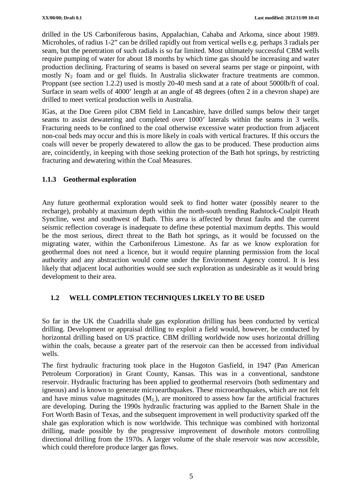drilled in the US Carboniferous basins, Appalachian, Cahaba and Arkoma, since about 1989. Microholes, of radius 1-2" can be drilled rapidly out from vertical wells e.g. perhaps 3 radials per seam, but the penetration of such radials is so far limited. Most ultimately successful CBM wells require pumping of water for about 18 months by which time gas should be increasing and water production declining. Fracturing of seams is based on several seams per stage or pinpoint, with mostly  $N_2$  foam and or gel fluids. In Australia slickwater fracture treatments are common. Proppant (see section 1.2.2) used is mostly 20-40 mesh sand at a rate of about 5000lb/ft of coal. Surface in seam wells of 4000' length at an angle of 48 degrees (often 2 in a chevron shape) are drilled to meet vertical production wells in Australia.

IGas, at the Doe Green pilot CBM field in Lancashire, have drilled sumps below their target seams to assist dewatering and completed over 1000' laterals within the seams in 3 wells. Fracturing needs to be confined to the coal otherwise excessive water production from adjacent non-coal beds may occur and this is more likely in coals with vertical fractures. If this occurs the coals will never be properly dewatered to allow the gas to be produced. These production aims are, coincidently, in keeping with those seeking protection of the Bath hot springs, by restricting fracturing and dewatering within the Coal Measures.

### **1.1.3 Geothermal exploration**

Any future geothermal exploration would seek to find hotter water (possibly nearer to the recharge), probably at maximum depth within the north-south trending Radstock-Coalpit Heath Syncline, west and southwest of Bath. This area is affected by thrust faults and the current seismic reflection coverage is inadequate to define these potential maximum depths. This would be the most serious, direct threat to the Bath hot springs, as it would be focussed on the migrating water, within the Carboniferous Limestone. As far as we know exploration for geothermal does not need a licence, but it would require planning permission from the local authority and any abstraction would come under the Environment Agency control. It is less likely that adjacent local authorities would see such exploration as undesirable as it would bring development to their area.

### **1.2 WELL COMPLETION TECHNIQUES LIKELY TO BE USED**

So far in the UK the Cuadrilla shale gas exploration drilling has been conducted by vertical drilling. Development or appraisal drilling to exploit a field would, however, be conducted by horizontal drilling based on US practice. CBM drilling worldwide now uses horizontal drilling within the coals, because a greater part of the reservoir can then be accessed from individual wells.

The first hydraulic fracturing took place in the Hugoton Gasfield, in 1947 (Pan American Petroleum Corporation) in Grant County, Kansas. This was in a conventional, sandstone reservoir. Hydraulic fracturing has been applied to geothermal reservoirs (both sedimentary and igneous) and is known to generate microearthquakes. These microearthquakes, which are not felt and have minus value magnitudes  $(M_L)$ , are monitored to assess how far the artificial fractures are developing. During the 1990s hydraulic fracturing was applied to the Barnett Shale in the Fort Worth Basin of Texas, and the subsequent improvement in well productivity sparked off the shale gas exploration which is now worldwide. This technique was combined with horizontal drilling, made possible by the progressive improvement of downhole motors controlling directional drilling from the 1970s. A larger volume of the shale reservoir was now accessible, which could therefore produce larger gas flows.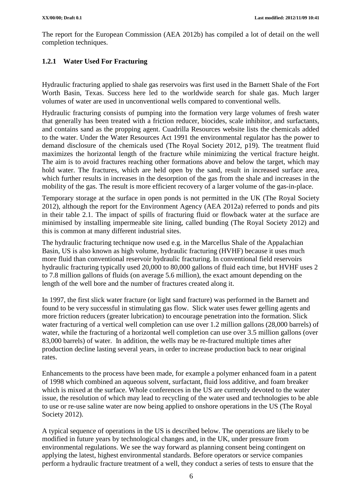The report for the European Commission (AEA 2012b) has compiled a lot of detail on the well completion techniques.

### **1.2.1 Water Used For Fracturing**

Hydraulic fracturing applied to shale gas reservoirs was first used in the Barnett Shale of the Fort Worth Basin, Texas. Success here led to the worldwide search for shale gas. Much larger volumes of water are used in unconventional wells compared to conventional wells.

Hydraulic fracturing consists of pumping into the formation very large volumes of fresh water that generally has been treated with a friction reducer, biocides, scale inhibitor, and surfactants, and contains sand as the propping agent. Cuadrilla Resources website lists the chemicals added to the water. Under the Water Resources Act 1991 the environmental regulator has the power to demand disclosure of the chemicals used (The Royal Society 2012, p19). The treatment fluid maximizes the horizontal length of the fracture while minimizing the vertical fracture height. The aim is to avoid fractures reaching other formations above and below the target, which may hold water. The fractures, which are held open by the sand, result in increased surface area, which further results in increases in the desorption of the gas from the shale and increases in the mobility of the gas. The result is more efficient recovery of a larger volume of the gas-in-place.

Temporary storage at the surface in open ponds is not permitted in the UK (The Royal Society 2012), although the report for the Environment Agency (AEA 2012a) referred to ponds and pits in their table 2.1. The impact of spills of fracturing fluid or flowback water at the surface are minimised by installing impermeable site lining, called bunding (The Royal Society 2012) and this is common at many different industrial sites.

The hydraulic fracturing technique now used e.g. in the Marcellus Shale of the Appalachian Basin, US is also known as high volume, hydraulic fracturing (HVHF) because it uses much more fluid than conventional reservoir hydraulic fracturing. In conventional field reservoirs hydraulic fracturing typically used 20,000 to 80,000 gallons of fluid each time, but HVHF uses 2 to 7.8 million gallons of fluids (on average 5.6 million), the exact amount depending on the length of the well bore and the number of fractures created along it.

In 1997, the first slick water fracture (or light sand fracture) was performed in the Barnett and found to be very successful in stimulating gas flow. Slick water uses fewer gelling agents and more friction reducers (greater lubrication) to encourage penetration into the formation. Slick water fracturing of a vertical well completion can use over 1.2 million gallons (28,000 barrels) of water, while the fracturing of a horizontal well completion can use over 3.5 million gallons (over 83,000 barrels) of water. In addition, the wells may be re-fractured multiple times after production decline lasting several years, in order to increase production back to near original rates.

Enhancements to the process have been made, for example a polymer enhanced foam in a patent of 1998 which combined an aqueous solvent, surfactant, fluid loss additive, and foam breaker which is mixed at the surface. Whole conferences in the US are currently devoted to the water issue, the resolution of which may lead to recycling of the water used and technologies to be able to use or re-use saline water are now being applied to onshore operations in the US (The Royal Society 2012).

A typical sequence of operations in the US is described below. The operations are likely to be modified in future years by technological changes and, in the UK, under pressure from environmental regulations. We see the way forward as planning consent being contingent on applying the latest, highest environmental standards. Before operators or service companies perform a hydraulic fracture treatment of a well, they conduct a series of tests to ensure that the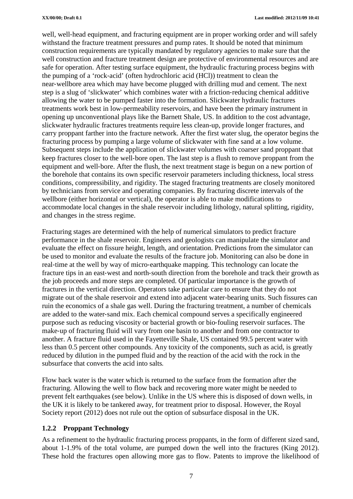well, well-head equipment, and fracturing equipment are in proper working order and will safely withstand the fracture treatment pressures and pump rates. It should be noted that minimum construction requirements are typically mandated by regulatory agencies to make sure that the well construction and fracture treatment design are protective of environmental resources and are safe for operation. After testing surface equipment, the hydraulic fracturing process begins with the pumping of a 'rock‐acid' (often hydrochloric acid (HCl)) treatment to clean the near‐wellbore area which may have become plugged with drilling mud and cement. The next step is a slug of 'slickwater' which combines water with a friction‐reducing chemical additive allowing the water to be pumped faster into the formation. Slickwater hydraulic fractures treatments work best in low‐permeability reservoirs, and have been the primary instrument in opening up unconventional plays like the Barnett Shale, US. In addition to the cost advantage, slickwater hydraulic fractures treatments require less clean-up, provide longer fractures, and carry proppant farther into the fracture network. After the first water slug, the operator begins the fracturing process by pumping a large volume of slickwater with fine sand at a low volume. Subsequent steps include the application of slickwater volumes with coarser sand proppant that keep fractures closer to the well-bore open. The last step is a flush to remove proppant from the equipment and well-bore. After the flush, the next treatment stage is begun on a new portion of the borehole that contains its own specific reservoir parameters including thickness, local stress conditions, compressibility, and rigidity. The staged fracturing treatments are closely monitored by technicians from service and operating companies. By fracturing discrete intervals of the wellbore (either horizontal or vertical), the operator is able to make modifications to accommodate local changes in the shale reservoir including lithology, natural splitting, rigidity, and changes in the stress regime.

Fracturing stages are determined with the help of numerical simulators to predict fracture performance in the shale reservoir. Engineers and geologists can manipulate the simulator and evaluate the effect on fissure height, length, and orientation. Predictions from the simulator can be used to monitor and evaluate the results of the fracture job. Monitoring can also be done in real-time at the well by way of micro-earthquake mapping. This technology can locate the fracture tips in an east-west and north-south direction from the borehole and track their growth as the job proceeds and more steps are completed. Of particular importance is the growth of fractures in the vertical direction. Operators take particular care to ensure that they do not migrate out of the shale reservoir and extend into adjacent water‐bearing units. Such fissures can ruin the economics of a shale gas well. During the fracturing treatment, a number of chemicals are added to the water‐sand mix. Each chemical compound serves a specifically engineered purpose such as reducing viscosity or bacterial growth or bio‐fouling reservoir surfaces. The make-up of fracturing fluid will vary from one basin to another and from one contractor to another. A fracture fluid used in the Fayetteville Shale, US contained 99.5 percent water with less than 0.5 percent other compounds. Any toxicity of the components, such as acid, is greatly reduced by dilution in the pumped fluid and by the reaction of the acid with the rock in the subsurface that converts the acid into salts.

Flow back water is the water which is returned to the surface from the formation after the fracturing. Allowing the well to flow back and recovering more water might be needed to prevent felt earthquakes (see below). Unlike in the US where this is disposed of down wells, in the UK it is likely to be tankered away, for treatment prior to disposal. However, the Royal Society report (2012) does not rule out the option of subsurface disposal in the UK.

#### **1.2.2 Proppant Technology**

As a refinement to the hydraulic fracturing process proppants, in the form of different sized sand, about 1-1.9% of the total volume, are pumped down the well into the fractures (King 2012). These hold the fractures open allowing more gas to flow. Patents to improve the likelihood of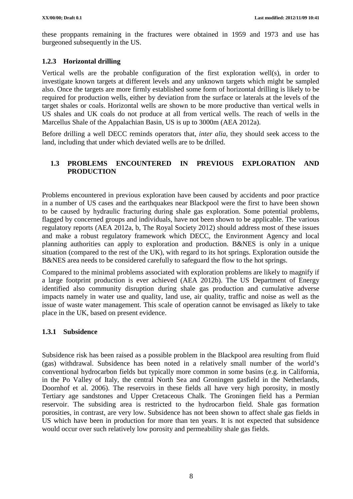these proppants remaining in the fractures were obtained in 1959 and 1973 and use has burgeoned subsequently in the US.

### **1.2.3 Horizontal drilling**

Vertical wells are the probable configuration of the first exploration well(s), in order to investigate known targets at different levels and any unknown targets which might be sampled also. Once the targets are more firmly established some form of horizontal drilling is likely to be required for production wells, either by deviation from the surface or laterals at the levels of the target shales or coals. Horizontal wells are shown to be more productive than vertical wells in US shales and UK coals do not produce at all from vertical wells. The reach of wells in the Marcellus Shale of the Appalachian Basin, US is up to 3000m (AEA 2012a).

Before drilling a well DECC reminds operators that, *inter alia*, they should seek access to the land, including that under which deviated wells are to be drilled.

### **1.3 PROBLEMS ENCOUNTERED IN PREVIOUS EXPLORATION AND PRODUCTION**

Problems encountered in previous exploration have been caused by accidents and poor practice in a number of US cases and the earthquakes near Blackpool were the first to have been shown to be caused by hydraulic fracturing during shale gas exploration. Some potential problems, flagged by concerned groups and individuals, have not been shown to be applicable. The various regulatory reports (AEA 2012a, b, The Royal Society 2012) should address most of these issues and make a robust regulatory framework which DECC, the Environment Agency and local planning authorities can apply to exploration and production. B&NES is only in a unique situation (compared to the rest of the UK), with regard to its hot springs. Exploration outside the B&NES area needs to be considered carefully to safeguard the flow to the hot springs.

Compared to the minimal problems associated with exploration problems are likely to magnify if a large footprint production is ever achieved (AEA 2012b). The US Department of Energy identified also community disruption during shale gas production and cumulative adverse impacts namely in water use and quality, land use, air quality, traffic and noise as well as the issue of waste water management. This scale of operation cannot be envisaged as likely to take place in the UK, based on present evidence.

#### **1.3.1 Subsidence**

Subsidence risk has been raised as a possible problem in the Blackpool area resulting from fluid (gas) withdrawal. Subsidence has been noted in a relatively small number of the world's conventional hydrocarbon fields but typically more common in some basins (e.g. in California, in the Po Valley of Italy, the central North Sea and Groningen gasfield in the Netherlands, Doornhof et al. 2006). The reservoirs in these fields all have very high porosity, in mostly Tertiary age sandstones and Upper Cretaceous Chalk. The Groningen field has a Permian reservoir. The subsiding area is restricted to the hydrocarbon field. Shale gas formation porosities, in contrast, are very low. Subsidence has not been shown to affect shale gas fields in US which have been in production for more than ten years. It is not expected that subsidence would occur over such relatively low porosity and permeability shale gas fields.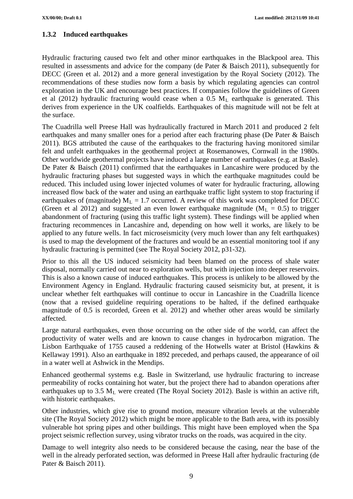### **1.3.2 Induced earthquakes**

Hydraulic fracturing caused two felt and other minor earthquakes in the Blackpool area. This resulted in assessments and advice for the company (de Pater & Baisch 2011), subsequently for DECC (Green et al. 2012) and a more general investigation by the Royal Society (2012). The recommendations of these studies now form a basis by which regulating agencies can control exploration in the UK and encourage best practices. If companies follow the guidelines of Green et al (2012) hydraulic fracturing would cease when a 0.5  $M<sub>L</sub>$  earthquake is generated. This derives from experience in the UK coalfields. Earthquakes of this magnitude will not be felt at the surface.

The Cuadrilla well Preese Hall was hydraulically fractured in March 2011 and produced 2 felt earthquakes and many smaller ones for a period after each fracturing phase (De Pater & Baisch 2011). BGS attributed the cause of the earthquakes to the fracturing having monitored similar felt and unfelt earthquakes in the geothermal project at Rosemanowes, Cornwall in the 1980s. Other worldwide geothermal projects have induced a large number of earthquakes (e.g. at Basle). De Pater & Baisch (2011) confirmed that the earthquakes in Lancashire were produced by the hydraulic fracturing phases but suggested ways in which the earthquake magnitudes could be reduced. This included using lower injected volumes of water for hydraulic fracturing, allowing increased flow back of the water and using an earthquake traffic light system to stop fracturing if earthquakes of (magnitude)  $M_L = 1.7$  occurred. A review of this work was completed for DECC (Green et al 2012) and suggested an even lower earthquake magnitude ( $M_L = 0.5$ ) to trigger abandonment of fracturing (using this traffic light system). These findings will be applied when fracturing recommences in Lancashire and, depending on how well it works, are likely to be applied to any future wells. In fact microseismicity (very much lower than any felt earthquakes) is used to map the development of the fractures and would be an essential monitoring tool if any hydraulic fracturing is permitted (see The Royal Society 2012, p31-32).

Prior to this all the US induced seismicity had been blamed on the process of shale water disposal, normally carried out near to exploration wells, but with injection into deeper reservoirs. This is also a known cause of induced earthquakes. This process is unlikely to be allowed by the Environment Agency in England. Hydraulic fracturing caused seismicity but, at present, it is unclear whether felt earthquakes will continue to occur in Lancashire in the Cuadrilla licence (now that a revised guideline requiring operations to be halted, if the defined earthquake magnitude of 0.5 is recorded, Green et al. 2012) and whether other areas would be similarly affected.

Large natural earthquakes, even those occurring on the other side of the world, can affect the productivity of water wells and are known to cause changes in hydrocarbon migration. The Lisbon Earthquake of 1755 caused a reddening of the Hotwells water at Bristol (Hawkins & Kellaway 1991). Also an earthquake in 1892 preceded, and perhaps caused, the appearance of oil in a water well at Ashwick in the Mendips.

Enhanced geothermal systems e.g. Basle in Switzerland, use hydraulic fracturing to increase permeability of rocks containing hot water, but the project there had to abandon operations after earthquakes up to 3.5  $M<sub>L</sub>$  were created (The Royal Society 2012). Basle is within an active rift, with historic earthquakes.

Other industries, which give rise to ground motion, measure vibration levels at the vulnerable site (The Royal Society 2012) which might be more applicable to the Bath area, with its possibly vulnerable hot spring pipes and other buildings. This might have been employed when the Spa project seismic reflection survey, using vibrator trucks on the roads, was acquired in the city.

Damage to well integrity also needs to be considered because the casing, near the base of the well in the already perforated section, was deformed in Preese Hall after hydraulic fracturing (de Pater & Baisch 2011).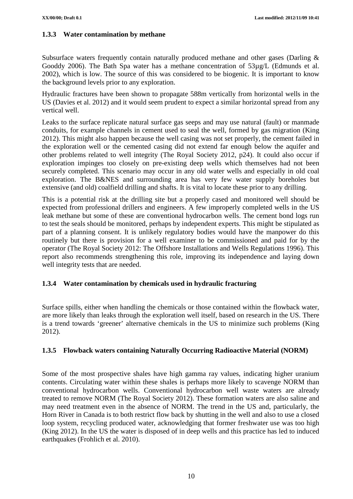#### **1.3.3 Water contamination by methane**

Subsurface waters frequently contain naturally produced methane and other gases (Darling & Gooddy 2006). The Bath Spa water has a methane concentration of 53µg/L (Edmunds et al. 2002), which is low. The source of this was considered to be biogenic. It is important to know the background levels prior to any exploration.

Hydraulic fractures have been shown to propagate 588m vertically from horizontal wells in the US (Davies et al. 2012) and it would seem prudent to expect a similar horizontal spread from any vertical well.

Leaks to the surface replicate natural surface gas seeps and may use natural (fault) or manmade conduits, for example channels in cement used to seal the well, formed by gas migration (King 2012). This might also happen because the well casing was not set properly, the cement failed in the exploration well or the cemented casing did not extend far enough below the aquifer and other problems related to well integrity (The Royal Society 2012, p24). It could also occur if exploration impinges too closely on pre-existing deep wells which themselves had not been securely completed. This scenario may occur in any old water wells and especially in old coal exploration. The B&NES and surrounding area has very few water supply boreholes but extensive (and old) coalfield drilling and shafts. It is vital to locate these prior to any drilling.

This is a potential risk at the drilling site but a properly cased and monitored well should be expected from professional drillers and engineers. A few improperly completed wells in the US leak methane but some of these are conventional hydrocarbon wells. The cement bond logs run to test the seals should be monitored, perhaps by independent experts. This might be stipulated as part of a planning consent. It is unlikely regulatory bodies would have the manpower do this routinely but there is provision for a well examiner to be commissioned and paid for by the operator (The Royal Society 2012: The Offshore Installations and Wells Regulations 1996). This report also recommends strengthening this role, improving its independence and laying down well integrity tests that are needed.

#### **1.3.4 Water contamination by chemicals used in hydraulic fracturing**

Surface spills, either when handling the chemicals or those contained within the flowback water, are more likely than leaks through the exploration well itself, based on research in the US. There is a trend towards 'greener' alternative chemicals in the US to minimize such problems (King 2012).

#### **1.3.5 Flowback waters containing Naturally Occurring Radioactive Material (NORM)**

Some of the most prospective shales have high gamma ray values, indicating higher uranium contents. Circulating water within these shales is perhaps more likely to scavenge NORM than conventional hydrocarbon wells. Conventional hydrocarbon well waste waters are already treated to remove NORM (The Royal Society 2012). These formation waters are also saline and may need treatment even in the absence of NORM. The trend in the US and, particularly, the Horn River in Canada is to both restrict flow back by shutting in the well and also to use a closed loop system, recycling produced water, acknowledging that former freshwater use was too high (King 2012). In the US the water is disposed of in deep wells and this practice has led to induced earthquakes (Frohlich et al. 2010).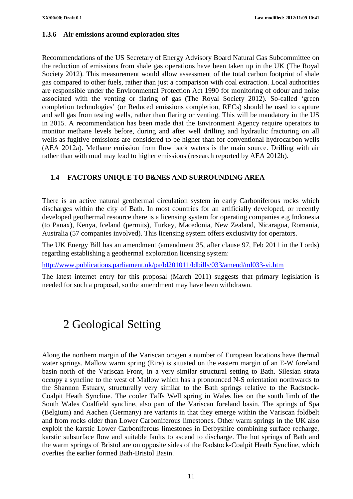#### **1.3.6 Air emissions around exploration sites**

Recommendations of the US Secretary of Energy Advisory Board Natural Gas Subcommittee on the reduction of emissions from shale gas operations have been taken up in the UK (The Royal Society 2012). This measurement would allow assessment of the total carbon footprint of shale gas compared to other fuels, rather than just a comparison with coal extraction. Local authorities are responsible under the Environmental Protection Act 1990 for monitoring of odour and noise associated with the venting or flaring of gas (The Royal Society 2012). So-called 'green completion technologies' (or Reduced emissions completion, RECs) should be used to capture and sell gas from testing wells, rather than flaring or venting. This will be mandatory in the US in 2015. A recommendation has been made that the Environment Agency require operators to monitor methane levels before, during and after well drilling and hydraulic fracturing on all wells as fugitive emissions are considered to be higher than for conventional hydrocarbon wells (AEA 2012a). Methane emission from flow back waters is the main source. Drilling with air rather than with mud may lead to higher emissions (research reported by AEA 2012b).

#### **1.4 FACTORS UNIQUE TO B&NES AND SURROUNDING AREA**

There is an active natural geothermal circulation system in early Carboniferous rocks which discharges within the city of Bath. In most countries for an artificially developed, or recently developed geothermal resource there is a licensing system for operating companies e.g Indonesia (to Panax), Kenya, Iceland (permits), Turkey, Macedonia, New Zealand, Nicaragua, Romania, Australia (57 companies involved). This licensing system offers exclusivity for operators.

The UK Energy Bill has an amendment (amendment 35, after clause 97, Feb 2011 in the Lords) regarding establishing a geothermal exploration licensing system:

<http://www.publications.parliament.uk/pa/ld201011/ldbills/033/amend/ml033-vi.htm>

The latest internet entry for this proposal (March 2011) suggests that primary legislation is needed for such a proposal, so the amendment may have been withdrawn.

## 2 Geological Setting

Along the northern margin of the Variscan orogen a number of European locations have thermal water springs. Mallow warm spring (Eire) is situated on the eastern margin of an E-W foreland basin north of the Variscan Front, in a very similar structural setting to Bath. Silesian strata occupy a syncline to the west of Mallow which has a pronounced N-S orientation northwards to the Shannon Estuary, structurally very similar to the Bath springs relative to the Radstock-Coalpit Heath Syncline. The cooler Taffs Well spring in Wales lies on the south limb of the South Wales Coalfield syncline, also part of the Variscan foreland basin. The springs of Spa (Belgium) and Aachen (Germany) are variants in that they emerge within the Variscan foldbelt and from rocks older than Lower Carboniferous limestones. Other warm springs in the UK also exploit the karstic Lower Carboniferous limestones in Derbyshire combining surface recharge, karstic subsurface flow and suitable faults to ascend to discharge. The hot springs of Bath and the warm springs of Bristol are on opposite sides of the Radstock-Coalpit Heath Syncline, which overlies the earlier formed Bath-Bristol Basin.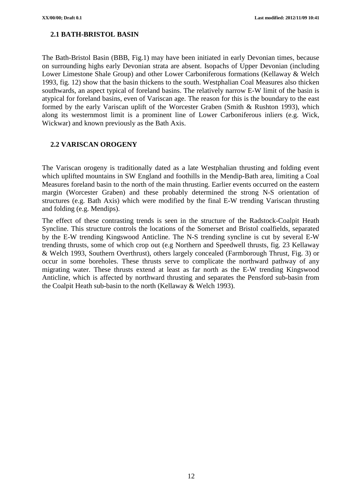### **2.1 BATH-BRISTOL BASIN**

The Bath-Bristol Basin (BBB, Fig.1) may have been initiated in early Devonian times, because on surrounding highs early Devonian strata are absent. Isopachs of Upper Devonian (including Lower Limestone Shale Group) and other Lower Carboniferous formations (Kellaway & Welch 1993, fig. 12) show that the basin thickens to the south. Westphalian Coal Measures also thicken southwards, an aspect typical of foreland basins. The relatively narrow E-W limit of the basin is atypical for foreland basins, even of Variscan age. The reason for this is the boundary to the east formed by the early Variscan uplift of the Worcester Graben (Smith & Rushton 1993), which along its westernmost limit is a prominent line of Lower Carboniferous inliers (e.g. Wick, Wickwar) and known previously as the Bath Axis.

#### **2.2 VARISCAN OROGENY**

The Variscan orogeny is traditionally dated as a late Westphalian thrusting and folding event which uplifted mountains in SW England and foothills in the Mendip-Bath area, limiting a Coal Measures foreland basin to the north of the main thrusting. Earlier events occurred on the eastern margin (Worcester Graben) and these probably determined the strong N-S orientation of structures (e.g. Bath Axis) which were modified by the final E-W trending Variscan thrusting and folding (e.g. Mendips).

The effect of these contrasting trends is seen in the structure of the Radstock-Coalpit Heath Syncline. This structure controls the locations of the Somerset and Bristol coalfields, separated by the E-W trending Kingswood Anticline. The N-S trending syncline is cut by several E-W trending thrusts, some of which crop out (e.g Northern and Speedwell thrusts, fig. 23 Kellaway & Welch 1993, Southern Overthrust), others largely concealed (Farmborough Thrust, Fig. 3) or occur in some boreholes. These thrusts serve to complicate the northward pathway of any migrating water. These thrusts extend at least as far north as the E-W trending Kingswood Anticline, which is affected by northward thrusting and separates the Pensford sub-basin from the Coalpit Heath sub-basin to the north (Kellaway & Welch 1993).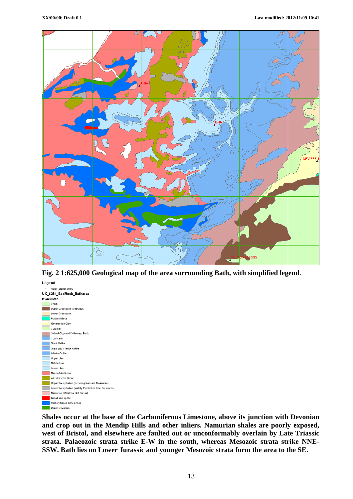

**Fig. 2 1:625,000 Geological map of the area surrounding Bath, with simplified legend**.



**Shales occur at the base of the Carboniferous Limestone, above its junction with Devonian and crop out in the Mendip Hills and other inliers. Namurian shales are poorly exposed, west of Bristol, and elsewhere are faulted out or unconformably overlain by Late Triassic strata. Palaeozoic strata strike E-W in the south, whereas Mesozoic strata strike NNE-SSW. Bath lies on Lower Jurassic and younger Mesozoic strata form the area to the SE.**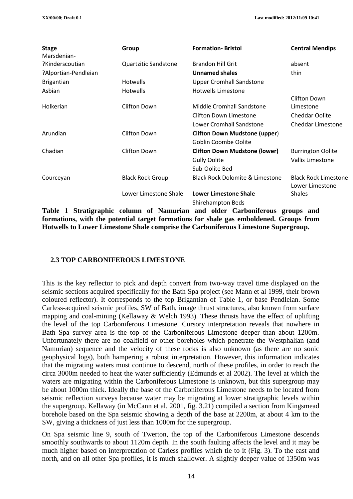| <b>Stage</b><br>Marsdenian- | Group                       | <b>Formation-Bristol</b>                   | <b>Central Mendips</b>                         |  |  |
|-----------------------------|-----------------------------|--------------------------------------------|------------------------------------------------|--|--|
| ?Kinderscoutian             | <b>Quartzitic Sandstone</b> | <b>Brandon Hill Grit</b>                   | absent                                         |  |  |
| ?Alportian-Pendleian        |                             | <b>Unnamed shales</b>                      | thin                                           |  |  |
| <b>Brigantian</b>           | <b>Hotwells</b>             | <b>Upper Cromhall Sandstone</b>            |                                                |  |  |
| Asbian                      | <b>Hotwells</b>             | <b>Hotwells Limestone</b>                  |                                                |  |  |
| Holkerian                   | Clifton Down                | <b>Middle Cromhall Sandstone</b>           | Clifton Down<br>Limestone                      |  |  |
|                             |                             | <b>Clifton Down Limestone</b>              | <b>Cheddar Oolite</b>                          |  |  |
|                             |                             | Lower Cromhall Sandstone                   | <b>Cheddar Limestone</b>                       |  |  |
| Arundian                    | <b>Clifton Down</b>         | <b>Clifton Down Mudstone (upper)</b>       |                                                |  |  |
|                             |                             | Goblin Coombe Oolite                       |                                                |  |  |
| Chadian                     | <b>Clifton Down</b>         | <b>Clifton Down Mudstone (lower)</b>       | <b>Burrington Oolite</b>                       |  |  |
|                             |                             | <b>Gully Oolite</b>                        | Vallis Limestone                               |  |  |
|                             |                             | Sub-Oolite Bed                             |                                                |  |  |
| Courceyan                   | <b>Black Rock Group</b>     | <b>Black Rock Dolomite &amp; Limestone</b> | <b>Black Rock Limestone</b><br>Lower Limestone |  |  |
|                             | Lower Limestone Shale       | <b>Lower Limestone Shale</b>               | <b>Shales</b>                                  |  |  |
|                             |                             | Shirehampton Beds                          |                                                |  |  |

**Table 1 Stratigraphic column of Namurian and older Carboniferous groups and formations, with the potential target formations for shale gas emboldened. Groups from Hotwells to Lower Limestone Shale comprise the Carboniferous Limestone Supergroup.**

#### **2.3 TOP CARBONIFEROUS LIMESTONE**

This is the key reflector to pick and depth convert from two-way travel time displayed on the seismic sections acquired specifically for the Bath Spa project (see Mann et al 1999, their brown coloured reflector). It corresponds to the top Brigantian of Table 1, or base Pendleian. Some Carless-acquired seismic profiles, SW of Bath, image thrust structures, also known from surface mapping and coal-mining (Kellaway & Welch 1993). These thrusts have the effect of uplifting the level of the top Carboniferous Limestone. Cursory interpretation reveals that nowhere in Bath Spa survey area is the top of the Carboniferous Limestone deeper than about 1200m. Unfortunately there are no coalfield or other boreholes which penetrate the Westphalian (and Namurian) sequence and the velocity of these rocks is also unknown (as there are no sonic geophysical logs), both hampering a robust interpretation. However, this information indicates that the migrating waters must continue to descend, north of these profiles, in order to reach the circa 3000m needed to heat the water sufficiently (Edmunds et al 2002). The level at which the waters are migrating within the Carboniferous Limestone is unknown, but this supergroup may be about 1000m thick. Ideally the base of the Carboniferous Limestone needs to be located from seismic reflection surveys because water may be migrating at lower stratigraphic levels within the supergroup. Kellaway (in McCann et al. 2001, fig. 3.21) compiled a section from Kingsmead borehole based on the Spa seismic showing a depth of the base at 2200m, at about 4 km to the SW, giving a thickness of just less than 1000m for the supergroup.

On Spa seismic line 9, south of Twerton, the top of the Carboniferous Limestone descends smoothly southwards to about 1120m depth. In the south faulting affects the level and it may be much higher based on interpretation of Carless profiles which tie to it (Fig. 3). To the east and north, and on all other Spa profiles, it is much shallower. A slightly deeper value of 1350m was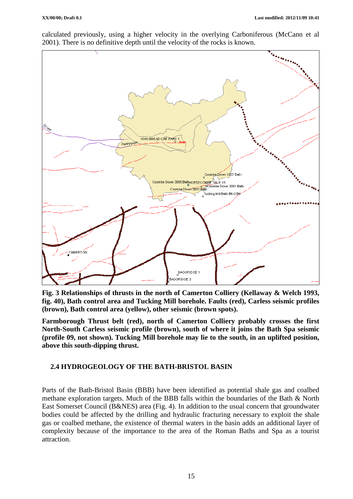calculated previously, using a higher velocity in the overlying Carboniferous (McCann et al 2001). There is no definitive depth until the velocity of the rocks is known.



**Fig. 3 Relationships of thrusts in the north of Camerton Colliery (Kellaway & Welch 1993, fig. 40), Bath control area and Tucking Mill borehole. Faults (red), Carless seismic profiles (brown), Bath control area (yellow), other seismic (brown spots).**

**Farmborough Thrust belt (red), north of Camerton Colliery probably crosses the first North-South Carless seismic profile (brown), south of where it joins the Bath Spa seismic (profile 09, not shown). Tucking Mill borehole may lie to the south, in an uplifted position, above this south-dipping thrust.**

#### **2.4 HYDROGEOLOGY OF THE BATH-BRISTOL BASIN**

Parts of the Bath-Bristol Basin (BBB) have been identified as potential shale gas and coalbed methane exploration targets. Much of the BBB falls within the boundaries of the Bath & North East Somerset Council (B&NES) area (Fig. 4). In addition to the usual concern that groundwater bodies could be affected by the drilling and hydraulic fracturing necessary to exploit the shale gas or coalbed methane, the existence of thermal waters in the basin adds an additional layer of complexity because of the importance to the area of the Roman Baths and Spa as a tourist attraction.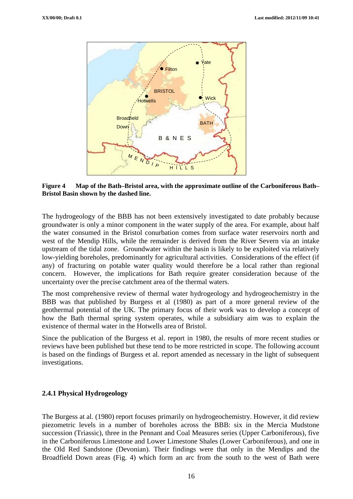

**Figure 4 Map of the Bath–Bristol area, with the approximate outline of the Carboniferous Bath– Bristol Basin shown by the dashed line.**

The hydrogeology of the BBB has not been extensively investigated to date probably because groundwater is only a minor component in the water supply of the area. For example, about half the water consumed in the Bristol conurbation comes from surface water reservoirs north and west of the Mendip Hills, while the remainder is derived from the River Severn via an intake upstream of the tidal zone. Groundwater within the basin is likely to be exploited via relatively low-yielding boreholes, predominantly for agricultural activities. Considerations of the effect (if any) of fracturing on potable water quality would therefore be a local rather than regional concern. However, the implications for Bath require greater consideration because of the uncertainty over the precise catchment area of the thermal waters.

The most comprehensive review of thermal water hydrogeology and hydrogeochemistry in the BBB was that published by Burgess et al (1980) as part of a more general review of the geothermal potential of the UK. The primary focus of their work was to develop a concept of how the Bath thermal spring system operates, while a subsidiary aim was to explain the existence of thermal water in the Hotwells area of Bristol.

Since the publication of the Burgess et al. report in 1980, the results of more recent studies or reviews have been published but these tend to be more restricted in scope. The following account is based on the findings of Burgess et al. report amended as necessary in the light of subsequent investigations.

#### **2.4.1 Physical Hydrogeology**

The Burgess at al. (1980) report focuses primarily on hydrogeochemistry. However, it did review piezometric levels in a number of boreholes across the BBB: six in the Mercia Mudstone succession (Triassic), three in the Pennant and Coal Measures series (Upper Carboniferous), five in the Carboniferous Limestone and Lower Limestone Shales (Lower Carboniferous), and one in the Old Red Sandstone (Devonian). Their findings were that only in the Mendips and the Broadfield Down areas (Fig. 4) which form an arc from the south to the west of Bath were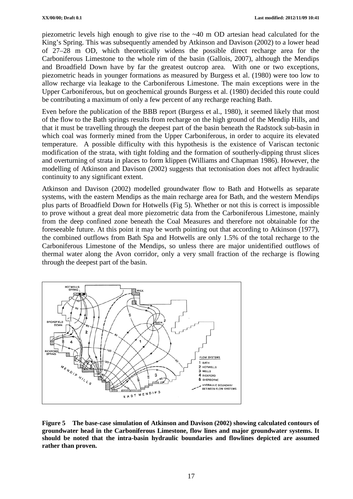piezometric levels high enough to give rise to the ~40 m OD artesian head calculated for the King's Spring. This was subsequently amended by Atkinson and Davison (2002) to a lower head of 27–28 m OD, which theoretically widens the possible direct recharge area for the Carboniferous Limestone to the whole rim of the basin (Gallois, 2007), although the Mendips and Broadfield Down have by far the greatest outcrop area. With one or two exceptions, piezometric heads in younger formations as measured by Burgess et al. (1980) were too low to allow recharge via leakage to the Carboniferous Limestone. The main exceptions were in the Upper Carboniferous, but on geochemical grounds Burgess et al. (1980) decided this route could be contributing a maximum of only a few percent of any recharge reaching Bath.

Even before the publication of the BBB report (Burgess et al., 1980), it seemed likely that most of the flow to the Bath springs results from recharge on the high ground of the Mendip Hills, and that it must be travelling through the deepest part of the basin beneath the Radstock sub-basin in which coal was formerly mined from the Upper Carboniferous, in order to acquire its elevated temperature. A possible difficulty with this hypothesis is the existence of Variscan tectonic modification of the strata, with tight folding and the formation of southerly-dipping thrust slices and overturning of strata in places to form klippen (Williams and Chapman 1986). However, the modelling of Atkinson and Davison (2002) suggests that tectonisation does not affect hydraulic continuity to any significant extent.

Atkinson and Davison (2002) modelled groundwater flow to Bath and Hotwells as separate systems, with the eastern Mendips as the main recharge area for Bath, and the western Mendips plus parts of Broadfield Down for Hotwells (Fig 5). Whether or not this is correct is impossible to prove without a great deal more piezometric data from the Carboniferous Limestone, mainly from the deep confined zone beneath the Coal Measures and therefore not obtainable for the foreseeable future. At this point it may be worth pointing out that according to Atkinson (1977), the combined outflows from Bath Spa and Hotwells are only 1.5% of the total recharge to the Carboniferous Limestone of the Mendips, so unless there are major unidentified outflows of thermal water along the Avon corridor, only a very small fraction of the recharge is flowing through the deepest part of the basin.



**Figure 5 The base-case simulation of Atkinson and Davison (2002) showing calculated contours of groundwater head in the Carboniferous Limestone, flow lines and major groundwater systems. It should be noted that the intra-basin hydraulic boundaries and flowlines depicted are assumed rather than proven.**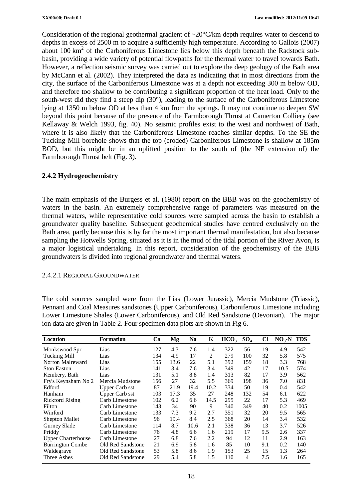Consideration of the regional geothermal gradient of ~20°C/km depth requires water to descend to depths in excess of 2500 m to acquire a sufficiently high temperature. According to Gallois (2007) about 100 km2 of the Carboniferous Limestone lies below this depth beneath the Radstock subbasin, providing a wide variety of potential flowpaths for the thermal water to travel towards Bath. However, a reflection seismic survey was carried out to explore the deep geology of the Bath area by McCann et al. (2002). They interpreted the data as indicating that in most directions from the city, the surface of the Carboniferous Limestone was at a depth not exceeding 300 m below OD, and therefore too shallow to be contributing a significant proportion of the heat load. Only to the south-west did they find a steep dip (30°), leading to the surface of the Carboniferous Limestone lying at 1350 m below OD at less than 4 km from the springs. It may not continue to deepen SW beyond this point because of the presence of the Farmborough Thrust at Camerton Colliery (see Kellaway & Welch 1993, fig. 40). No seismic profiles exist to the west and northwest of Bath, where it is also likely that the Carboniferous Limestone reaches similar depths. To the SE the Tucking Mill borehole shows that the top (eroded) Carboniferous Limestone is shallow at 185m BOD, but this might be in an uplifted position to the south of (the NE extension of) the Farmborough Thrust belt (Fig. 3).

#### **2.4.2 Hydrogeochemistry**

The main emphasis of the Burgess et al. (1980) report on the BBB was on the geochemistry of waters in the basin. An extremely comprehensive range of parameters was measured on the thermal waters, while representative cold sources were sampled across the basin to establish a groundwater quality baseline. Subsequent geochemical studies have centred exclusively on the Bath area, partly because this is by far the most important thermal manifestation, but also because sampling the Hotwells Spring, situated as it is in the mud of the tidal portion of the River Avon, is a major logistical undertaking. In this report, consideration of the geochemistry of the BBB groundwaters is divided into regional groundwater and thermal waters.

#### 2.4.2.1 REGIONAL GROUNDWATER

The cold sources sampled were from the Lias (Lower Jurassic), Mercia Mudstone (Triassic), Pennant and Coal Measures sandstones (Upper Carboniferous), Carboniferous Limestone including Lower Limestone Shales (Lower Carboniferous), and Old Red Sandstone (Devonian). The major ion data are given in Table 2. Four specimen data plots are shown in Fig 6.

| Location                  | <b>Formation</b>      | Ca  | Mg   | <b>Na</b> | K    | HCO <sub>3</sub> | $SO_4$ | Cl  | $NO_3$ -N TDS |      |
|---------------------------|-----------------------|-----|------|-----------|------|------------------|--------|-----|---------------|------|
| Monkswood Spr             | Lias                  | 127 | 4.3  | 7.6       | 1.4  | 322              | 56     | 19  | 4.9           | 542  |
| <b>Tucking Mill</b>       | Lias                  | 134 | 4.9  | 17        | 2    | 279              | 100    | 32  | 5.8           | 575  |
| Norton Malreward          | Lias                  | 155 | 13.6 | 22        | 5.1  | 392              | 159    | 18  | 3.3           | 768  |
| <b>Ston Easton</b>        | Lias                  | 141 | 3.4  | 7.6       | 3.4  | 349              | 42     | 17  | 10.5          | 574  |
| Kembery, Bath             | Lias                  | 131 | 5.1  | 8.8       | 1.4  | 313              | 82     | 17  | 3.9           | 562  |
| Fry's Keynsham No 2       | Mercia Mudstone       | 156 | 27   | 32        | 5.5  | 369              | 198    | 36  | 7.0           | 831  |
| Edford                    | <b>Upper Carb sst</b> | 87  | 21.9 | 19.4      | 10.2 | 334              | 50     | 19  | 0.4           | 542  |
| Hanham                    | <b>Upper Carb sst</b> | 103 | 17.3 | 35        | 27   | 248              | 132    | 54  | 6.1           | 622  |
| <b>Rickford Rising</b>    | Carb Limestone        | 102 | 6.2  | 6.6       | 14.5 | 295              | 22     | 17  | 5.3           | 469  |
| Filton                    | Carb Limestone        | 143 | 34   | 90        | 9    | 340              | 349    | 40  | 0.2           | 1005 |
| Winford                   | Carb Limestone        | 133 | 7.3  | 9.2       | 2.7  | 351              | 32     | 20  | 9.5           | 565  |
| Shepton Mallet            | Carb Limestone        | 96  | 19.4 | 8.4       | 2.5  | 368              | 20     | 14  | 3.4           | 532  |
| Gurney Slade              | Carb Limestone        | 114 | 8.7  | 10.6      | 2.1  | 338              | 36     | 13  | 3.7           | 526  |
| Priddy                    | Carb Limestone        | 76  | 4.8  | 6.6       | 1.6  | 219              | 17     | 9.5 | 2.6           | 337  |
| <b>Upper Charterhouse</b> | Carb Limestone        | 27  | 6.8  | 7.6       | 2.2  | 94               | 12     | 11  | 2.9           | 163  |
| <b>Burrington Combe</b>   | Old Red Sandstone     | 21  | 6.9  | 5.8       | 1.6  | 85               | 10     | 9.1 | 0.2           | 140  |
| Waldegrave                | Old Red Sandstone     | 53  | 5.8  | 8.6       | 1.9  | 153              | 25     | 15  | 1.3           | 264  |
| Three Ashes               | Old Red Sandstone     | 29  | 5.4  | 5.8       | 1.5  | 110              | 4      | 7.5 | 1.6           | 165  |

18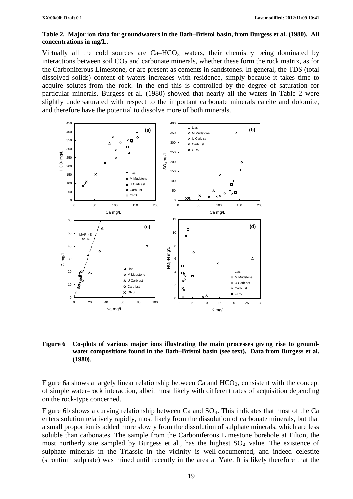#### **Table 2. Major ion data for groundwaters in the Bath–Bristol basin, from Burgess et al. (1980). All concentrations in mg/L.**

Virtually all the cold sources are  $Ca-HCO<sub>3</sub>$  waters, their chemistry being dominated by interactions between soil  $CO<sub>2</sub>$  and carbonate minerals, whether these form the rock matrix, as for the Carboniferous Limestone, or are present as cements in sandstones. In general, the TDS (total dissolved solids) content of waters increases with residence, simply because it takes time to acquire solutes from the rock. In the end this is controlled by the degree of saturation for particular minerals. Burgess et al. (1980) showed that nearly all the waters in Table 2 were slightly undersaturated with respect to the important carbonate minerals calcite and dolomite, and therefore have the potential to dissolve more of both minerals.



#### **Figure 6 Co-plots of various major ions illustrating the main processes giving rise to groundwater compositions found in the Bath–Bristol basin (see text). Data from Burgess et al. (1980)**.

Figure 6a shows a largely linear relationship between Ca and  $HCO<sub>3</sub>$ , consistent with the concept of simple water–rock interaction, albeit most likely with different rates of acquisition depending on the rock-type concerned.

Figure 6b shows a curving relationship between Ca and  $SO_4$ . This indicates that most of the Ca enters solution relatively rapidly, most likely from the dissolution of carbonate minerals, but that a small proportion is added more slowly from the dissolution of sulphate minerals, which are less soluble than carbonates. The sample from the Carboniferous Limestone borehole at Filton, the most northerly site sampled by Burgess et al., has the highest  $SO<sub>4</sub>$  value. The existence of sulphate minerals in the Triassic in the vicinity is well-documented, and indeed celestite (strontium sulphate) was mined until recently in the area at Yate. It is likely therefore that the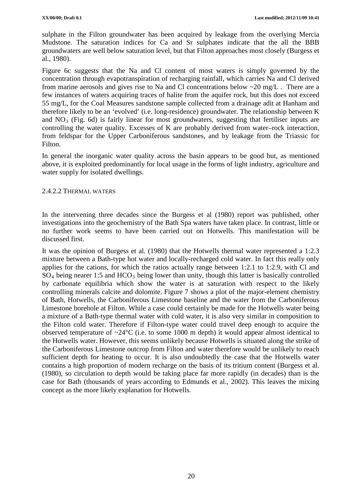sulphate in the Filton groundwater has been acquired by leakage from the overlying Mercia Mudstone. The saturation indices for Ca and Sr sulphates indicate that the all the BBB groundwaters are well below saturation level, but that Filton approaches most closely (Burgess et al., 1980).

Figure 6c suggests that the Na and Cl content of most waters is simply governed by the concentration through evapotranspiration of recharging rainfall, which carries Na and Cl derived from marine aerosols and gives rise to Na and Cl concentrations below ~20 mg/L . There are a few instances of waters acquiring traces of halite from the aquifer rock, but this does not exceed 55 mg/L, for the Coal Measures sandstone sample collected from a drainage adit at Hanham and therefore likely to be an 'evolved' (i.e. long-residence) groundwater. The relationship between K and  $NO<sub>3</sub>$  (Fig. 6d) is fairly linear for most groundwaters, suggesting that fertiliser inputs are controlling the water quality. Excesses of K are probably derived from water–rock interaction, from feldspar for the Upper Carboniferous sandstones, and by leakage from the Triassic for Filton.

In general the inorganic water quality across the basin appears to be good but, as mentioned above, it is exploited predominantly for local usage in the forms of light industry, agriculture and water supply for isolated dwellings.

#### 2.4.2.2 THERMAL WATERS

In the intervening three decades since the Burgess et al (1980) report was published, other investigations into the geochemistry of the Bath Spa waters have taken place. In contrast, little or no further work seems to have been carried out on Hotwells. This manifestation will be discussed first.

It was the opinion of Burgess et al. (1980) that the Hotwells thermal water represented a 1:2.3 mixture between a Bath-type hot water and locally-recharged cold water. In fact this really only applies for the cations, for which the ratios actually range between 1:2.1 to 1:2.9, with Cl and  $SO_4$  being nearer 1:5 and  $HCO_3$  being lower than unity, though this latter is basically controlled by carbonate equilibria which show the water is at saturation with respect to the likely controlling minerals calcite and dolomite. Figure 7 shows a plot of the major-element chemistry of Bath, Hotwells, the Carboniferous Limestone baseline and the water from the Carboniferous Limestone borehole at Filton. While a case could certainly be made for the Hotwells water being a mixture of a Bath-type thermal water with cold water, it is also very similar in composition to the Filton cold water. Therefore if Filton-type water could travel deep enough to acquire the observed temperature of  $\sim$ 24 $\degree$ C (i.e. to some 1000 m depth) it would appear almost identical to the Hotwells water. However, this seems unlikely because Hotwells is situated along the strike of the Carboniferous Limestone outcrop from Filton and water therefore would be unlikely to reach sufficient depth for heating to occur. It is also undoubtedly the case that the Hotwells water contains a high proportion of modern recharge on the basis of its tritium content (Burgess et al. (1980), so circulation to depth would be taking place far more rapidly (in decades) than is the case for Bath (thousands of years according to Edmunds et al., 2002). This leaves the mixing concept as the more likely explanation for Hotwells.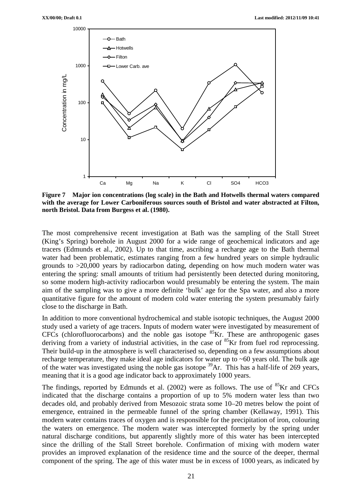

**Figure 7 Major ion concentrations (log scale) in the Bath and Hotwells thermal waters compared with the average for Lower Carboniferous sources south of Bristol and water abstracted at Filton, north Bristol. Data from Burgess et al. (1980).** 

The most comprehensive recent investigation at Bath was the sampling of the Stall Street (King's Spring) borehole in August 2000 for a wide range of geochemical indicators and age tracers (Edmunds et al., 2002). Up to that time, ascribing a recharge age to the Bath thermal water had been problematic, estimates ranging from a few hundred years on simple hydraulic grounds to >20,000 years by radiocarbon dating, depending on how much modern water was entering the spring: small amounts of tritium had persistently been detected during monitoring, so some modern high-activity radiocarbon would presumably be entering the system. The main aim of the sampling was to give a more definite 'bulk' age for the Spa water, and also a more quantitative figure for the amount of modern cold water entering the system presumably fairly close to the discharge in Bath.

In addition to more conventional hydrochemical and stable isotopic techniques, the August 2000 study used a variety of age tracers. Inputs of modern water were investigated by measurement of CFCs (chlorofluorocarbons) and the noble gas isotope <sup>85</sup>Kr. These are anthropogenic gases deriving from a variety of industrial activities, in the case of  ${}^{85}$ Kr from fuel rod reprocessing. Their build-up in the atmosphere is well characterised so, depending on a few assumptions about recharge temperature, they make ideal age indicators for water up to ~60 years old. The bulk age of the water was investigated using the noble gas isotope 39Ar. This has a half-life of 269 years, meaning that it is a good age indicator back to approximately 1000 years.

The findings, reported by Edmunds et al. (2002) were as follows. The use of <sup>85</sup>Kr and CFCs indicated that the discharge contains a proportion of up to 5% modern water less than two decades old, and probably derived from Mesozoic strata some 10–20 metres below the point of emergence, entrained in the permeable funnel of the spring chamber (Kellaway, 1991). This modern water contains traces of oxygen and is responsible for the precipitation of iron, colouring the waters on emergence. The modern water was intercepted formerly by the spring under natural discharge conditions, but apparently slightly more of this water has been intercepted since the drilling of the Stall Street borehole. Confirmation of mixing with modern water provides an improved explanation of the residence time and the source of the deeper, thermal component of the spring. The age of this water must be in excess of 1000 years, as indicated by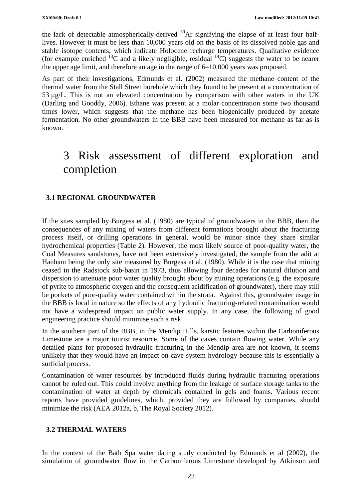the lack of detectable atmospherically-derived 39Ar signifying the elapse of at least four halflives. However it must be less than 10,000 years old on the basis of its dissolved noble gas and stable isotope contents, which indicate Holocene recharge temperatures. Qualitative evidence (for example enriched <sup>13</sup>C and a likely negligible, residual <sup>14</sup>C) suggests the water to be nearer the upper age limit, and therefore an age in the range of 6–10,000 years was proposed.

As part of their investigations, Edmunds et al. (2002) measured the methane content of the thermal water from the Stall Street borehole which they found to be present at a concentration of 53 µg/L. This is not an elevated concentration by comparison with other waters in the UK (Darling and Gooddy, 2006). Ethane was present at a molar concentration some two thousand times lower, which suggests that the methane has been biogenically produced by acetate fermentation. No other groundwaters in the BBB have been measured for methane as far as is known.

# 3 Risk assessment of different exploration and completion

#### **3.1 REGIONAL GROUNDWATER**

If the sites sampled by Burgess et al. (1980) are typical of groundwaters in the BBB, then the consequences of any mixing of waters from different formations brought about the fracturing process itself, or drilling operations in general, would be minor since they share similar hydrochemical properties (Table 2). However, the most likely source of poor-quality water, the Coal Measures sandstones, have not been extensively investigated, the sample from the adit at Hanham being the only site measured by Burgess et al. (1980). While it is the case that mining ceased in the Radstock sub-basin in 1973, thus allowing four decades for natural dilution and dispersion to attenuate poor water quality brought about by mining operations (e.g. the exposure of pyrite to atmospheric oxygen and the consequent acidification of groundwater), there may still be pockets of poor-quality water contained within the strata. Against this, groundwater usage in the BBB is local in nature so the effects of any hydraulic fracturing-related contamination would not have a widespread impact on public water supply. In any case, the following of good engineering practice should minimise such a risk.

In the southern part of the BBB, in the Mendip Hills, karstic features within the Carboniferous Limestone are a major tourist resource. Some of the caves contain flowing water. While any detailed plans for proposed hydraulic fracturing in the Mendip area are not known, it seems unlikely that they would have an impact on cave system hydrology because this is essentially a surficial process.

Contamination of water resources by introduced fluids during hydraulic fracturing operations cannot be ruled out. This could involve anything from the leakage of surface storage tanks to the contamination of water at depth by chemicals contained in gels and foams. Various recent reports have provided guidelines, which, provided they are followed by companies, should minimize the risk (AEA 2012a, b, The Royal Society 2012).

#### **3.2 THERMAL WATERS**

In the context of the Bath Spa water dating study conducted by Edmunds et al (2002), the simulation of groundwater flow in the Carboniferous Limestone developed by Atkinson and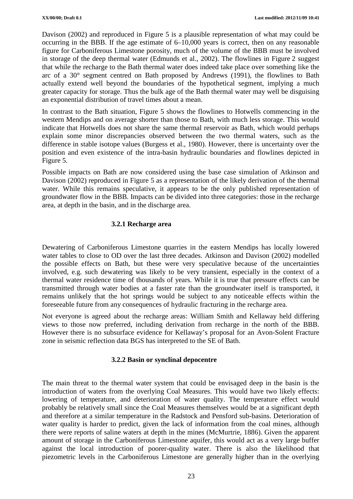Davison (2002) and reproduced in Figure 5 is a plausible representation of what may could be occurring in the BBB. If the age estimate of 6–10,000 years is correct, then on any reasonable figure for Carboniferous Limestone porosity, much of the volume of the BBB must be involved in storage of the deep thermal water (Edmunds et al., 2002). The flowlines in Figure 2 suggest that while the recharge to the Bath thermal water does indeed take place over something like the arc of a 30° segment centred on Bath proposed by Andrews (1991), the flowlines to Bath actually extend well beyond the boundaries of the hypothetical segment, implying a much greater capacity for storage. Thus the bulk age of the Bath thermal water may well be disguising an exponential distribution of travel times about a mean.

In contrast to the Bath situation, Figure 5 shows the flowlines to Hotwells commencing in the western Mendips and on average shorter than those to Bath, with much less storage. This would indicate that Hotwells does not share the same thermal reservoir as Bath, which would perhaps explain some minor discrepancies observed between the two thermal waters, such as the difference in stable isotope values (Burgess et al., 1980). However, there is uncertainty over the position and even existence of the intra-basin hydraulic boundaries and flowlines depicted in Figure 5.

Possible impacts on Bath are now considered using the base case simulation of Atkinson and Davison (2002) reproduced in Figure 5 as a representation of the likely derivation of the thermal water. While this remains speculative, it appears to be the only published representation of groundwater flow in the BBB. Impacts can be divided into three categories: those in the recharge area, at depth in the basin, and in the discharge area.

#### **3.2.1 Recharge area**

Dewatering of Carboniferous Limestone quarries in the eastern Mendips has locally lowered water tables to close to OD over the last three decades. Atkinson and Davison (2002) modelled the possible effects on Bath, but these were very speculative because of the uncertainties involved, e.g. such dewatering was likely to be very transient, especially in the context of a thermal water residence time of thousands of years. While it is true that pressure effects can be transmitted through water bodies at a faster rate than the groundwater itself is transported, it remains unlikely that the hot springs would be subject to any noticeable effects within the foreseeable future from any consequences of hydraulic fracturing in the recharge area.

Not everyone is agreed about the recharge areas: William Smith and Kellaway held differing views to those now preferred, including derivation from recharge in the north of the BBB. However there is no subsurface evidence for Kellaway's proposal for an Avon-Solent Fracture zone in seismic reflection data BGS has interpreted to the SE of Bath.

#### **3.2.2 Basin or synclinal depocentre**

The main threat to the thermal water system that could be envisaged deep in the basin is the introduction of waters from the overlying Coal Measures. This would have two likely effects: lowering of temperature, and deterioration of water quality. The temperature effect would probably be relatively small since the Coal Measures themselves would be at a significant depth and therefore at a similar temperature in the Radstock and Pensford sub-basins. Deterioration of water quality is harder to predict, given the lack of information from the coal mines, although there were reports of saline waters at depth in the mines (McMurtrie, 1886). Given the apparent amount of storage in the Carboniferous Limestone aquifer, this would act as a very large buffer against the local introduction of poorer-quality water. There is also the likelihood that piezometric levels in the Carboniferous Limestone are generally higher than in the overlying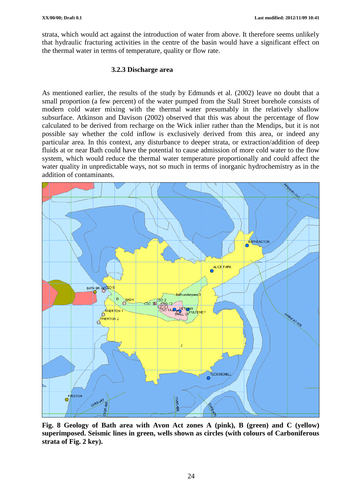strata, which would act against the introduction of water from above. It therefore seems unlikely that hydraulic fracturing activities in the centre of the basin would have a significant effect on the thermal water in terms of temperature, quality or flow rate.

#### **3.2.3 Discharge area**

As mentioned earlier, the results of the study by Edmunds et al. (2002) leave no doubt that a small proportion (a few percent) of the water pumped from the Stall Street borehole consists of modern cold water mixing with the thermal water presumably in the relatively shallow subsurface. Atkinson and Davison (2002) observed that this was about the percentage of flow calculated to be derived from recharge on the Wick inlier rather than the Mendips, but it is not possible say whether the cold inflow is exclusively derived from this area, or indeed any particular area. In this context, any disturbance to deeper strata, or extraction/addition of deep fluids at or near Bath could have the potential to cause admission of more cold water to the flow system, which would reduce the thermal water temperature proportionally and could affect the water quality in unpredictable ways, not so much in terms of inorganic hydrochemistry as in the addition of contaminants.



**Fig. 8 Geology of Bath area with Avon Act zones A (pink), B (green) and C (yellow) superimposed. Seismic lines in green, wells shown as circles (with colours of Carboniferous strata of Fig. 2 key).**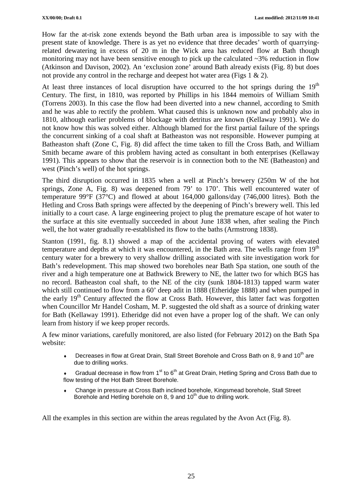How far the at-risk zone extends beyond the Bath urban area is impossible to say with the present state of knowledge. There is as yet no evidence that three decades' worth of quarryingrelated dewatering in excess of 20 m in the Wick area has reduced flow at Bath though monitoring may not have been sensitive enough to pick up the calculated ~3% reduction in flow (Atkinson and Davison, 2002). An 'exclusion zone' around Bath already exists (Fig. 8) but does not provide any control in the recharge and deepest hot water area (Figs 1  $\&$  2).

At least three instances of local disruption have occurred to the hot springs during the  $19<sup>th</sup>$ Century. The first, in 1810, was reported by Phillips in his 1844 memoirs of William Smith (Torrens 2003). In this case the flow had been diverted into a new channel, according to Smith and he was able to rectify the problem. What caused this is unknown now and probably also in 1810, although earlier problems of blockage with detritus are known (Kellaway 1991). We do not know how this was solved either. Although blamed for the first partial failure of the springs the concurrent sinking of a coal shaft at Batheaston was not responsible. However pumping at Batheaston shaft (Zone C, Fig. 8) did affect the time taken to fill the Cross Bath, and William Smith became aware of this problem having acted as consultant in both enterprises (Kellaway 1991). This appears to show that the reservoir is in connection both to the NE (Batheaston) and west (Pinch's well) of the hot springs.

The third disruption occurred in 1835 when a well at Pinch's brewery (250m W of the hot springs, Zone A, Fig. 8) was deepened from 79' to 170'. This well encountered water of temperature 99°F (37°C) and flowed at about 164,000 gallons/day (746,000 litres). Both the Hetling and Cross Bath springs were affected by the deepening of Pinch's brewery well. This led initially to a court case. A large engineering project to plug the premature escape of hot water to the surface at this site eventually succeeded in about June 1838 when, after sealing the Pinch well, the hot water gradually re-established its flow to the baths (Armstrong 1838).

Stanton (1991, fig. 8.1) showed a map of the accidental proving of waters with elevated temperature and depths at which it was encountered, in the Bath area. The wells range from 19<sup>th</sup> century water for a brewery to very shallow drilling associated with site investigation work for Bath's redevelopment. This map showed two boreholes near Bath Spa station, one south of the river and a high temperature one at Bathwick Brewery to NE, the latter two for which BGS has no record. Batheaston coal shaft, to the NE of the city (sunk 1804-1813) tapped warm water which still continued to flow from a 60' deep adit in 1888 (Etheridge 1888) and when pumped in the early  $19<sup>th</sup>$  Century affected the flow at Cross Bath. However, this latter fact was forgotten when Councillor Mr Handel Cosham, M. P. suggested the old shaft as a source of drinking water for Bath (Kellaway 1991). Etheridge did not even have a proper log of the shaft. We can only learn from history if we keep proper records.

A few minor variations, carefully monitored, are also listed (for February 2012) on the Bath Spa website:

- $\bullet$  Decreases in flow at Great Drain, Stall Street Borehole and Cross Bath on 8, 9 and 10<sup>th</sup> are due to drilling works.
- Gradual decrease in flow from 1<sup>st</sup> to 6<sup>th</sup> at Great Drain, Hetling Spring and Cross Bath due to flow testing of the Hot Bath Street Borehole.
- ♦ Change in pressure at Cross Bath inclined borehole, Kingsmead borehole, Stall Street Borehole and Hetling borehole on 8, 9 and  $10<sup>th</sup>$  due to drilling work.

All the examples in this section are within the areas regulated by the Avon Act (Fig. 8).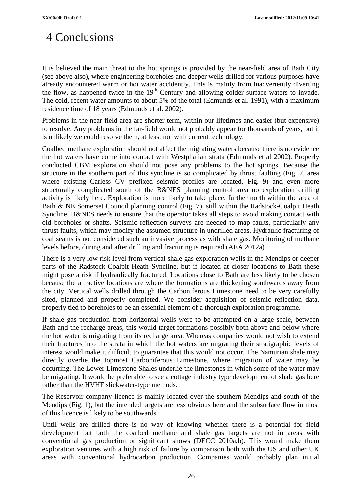# 4 Conclusions

It is believed the main threat to the hot springs is provided by the near-field area of Bath City (see above also), where engineering boreholes and deeper wells drilled for various purposes have already encountered warm or hot water accidently. This is mainly from inadvertently diverting the flow, as happened twice in the  $19<sup>th</sup>$  Century and allowing colder surface waters to invade. The cold, recent water amounts to about 5% of the total (Edmunds et al. 1991), with a maximum residence time of 18 years (Edmunds et al. 2002).

Problems in the near-field area are shorter term, within our lifetimes and easier (but expensive) to resolve. Any problems in the far-field would not probably appear for thousands of years, but it is unlikely we could resolve them, at least not with current technology.

Coalbed methane exploration should not affect the migrating waters because there is no evidence the hot waters have come into contact with Westphalian strata (Edmunds et al 2002). Properly conducted CBM exploration should not pose any problems to the hot springs. Because the structure in the southern part of this syncline is so complicated by thrust faulting (Fig. 7, area where existing Carless CV prefixed seismic profiles are located, Fig. 9) and even more structurally complicated south of the B&NES planning control area no exploration drilling activity is likely here. Exploration is more likely to take place, further north within the area of Bath & NE Somerset Council planning control (Fig. 7), still within the Radstock-Coalpit Heath Syncline. B&NES needs to ensure that the operator takes all steps to avoid making contact with old boreholes or shafts. Seismic reflection surveys are needed to map faults, particularly any thrust faults, which may modify the assumed structure in undrilled areas. Hydraulic fracturing of coal seams is not considered such an invasive process as with shale gas. Monitoring of methane levels before, during and after drilling and fracturing is required (AEA 2012a).

There is a very low risk level from vertical shale gas exploration wells in the Mendips or deeper parts of the Radstock-Coalpit Heath Syncline, but if located at closer locations to Bath these might pose a risk if hydraulically fractured. Locations close to Bath are less likely to be chosen because the attractive locations are where the formations are thickening southwards away from the city. Vertical wells drilled through the Carboniferous Limestone need to be very carefully sited, planned and properly completed. We consider acquisition of seismic reflection data, properly tied to boreholes to be an essential element of a thorough exploration programme.

If shale gas production from horizontal wells were to be attempted on a large scale, between Bath and the recharge areas, this would target formations possibly both above and below where the hot water is migrating from its recharge area. Whereas companies would not wish to extend their fractures into the strata in which the hot waters are migrating their stratigraphic levels of interest would make it difficult to guarantee that this would not occur. The Namurian shale may directly overlie the topmost Carboniferous Limestone, where migration of water may be occurring. The Lower Limestone Shales underlie the limestones in which some of the water may be migrating. It would be preferable to see a cottage industry type development of shale gas here rather than the HVHF slickwater-type methods.

The Reservoir company licence is mainly located over the southern Mendips and south of the Mendips (Fig. 1), but the intended targets are less obvious here and the subsurface flow in most of this licence is likely to be southwards.

Until wells are drilled there is no way of knowing whether there is a potential for field development but both the coalbed methane and shale gas targets are not in areas with conventional gas production or significant shows (DECC 2010a,b). This would make them exploration ventures with a high risk of failure by comparison both with the US and other UK areas with conventional hydrocarbon production. Companies would probably plan initial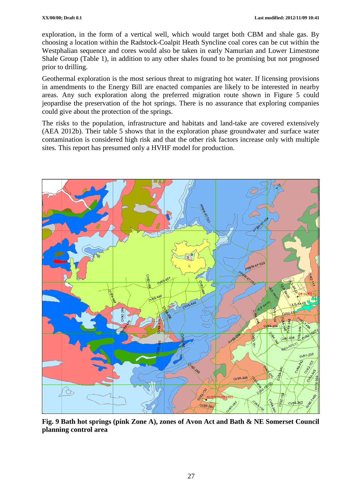exploration, in the form of a vertical well, which would target both CBM and shale gas. By choosing a location within the Radstock-Coalpit Heath Syncline coal cores can be cut within the Westphalian sequence and cores would also be taken in early Namurian and Lower Limestone Shale Group (Table 1), in addition to any other shales found to be promising but not prognosed prior to drilling.

Geothermal exploration is the most serious threat to migrating hot water. If licensing provisions in amendments to the Energy Bill are enacted companies are likely to be interested in nearby areas. Any such exploration along the preferred migration route shown in Figure 5 could jeopardise the preservation of the hot springs. There is no assurance that exploring companies could give about the protection of the springs.

The risks to the population, infrastructure and habitats and land-take are covered extensively (AEA 2012b). Their table 5 shows that in the exploration phase groundwater and surface water contamination is considered high risk and that the other risk factors increase only with multiple sites. This report has presumed only a HVHF model for production.



**Fig. 9 Bath hot springs (pink Zone A), zones of Avon Act and Bath & NE Somerset Council planning control area**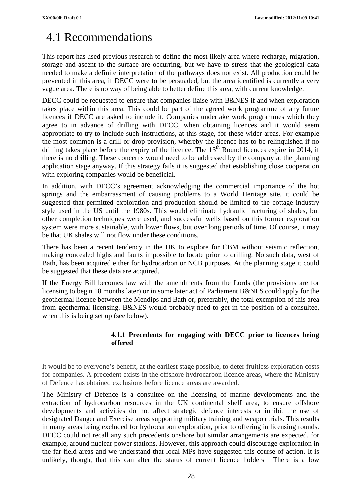# 4.1 Recommendations

This report has used previous research to define the most likely area where recharge, migration, storage and ascent to the surface are occurring, but we have to stress that the geological data needed to make a definite interpretation of the pathways does not exist. All production could be prevented in this area, if DECC were to be persuaded, but the area identified is currently a very vague area. There is no way of being able to better define this area, with current knowledge.

DECC could be requested to ensure that companies liaise with B&NES if and when exploration takes place within this area. This could be part of the agreed work programme of any future licences if DECC are asked to include it. Companies undertake work programmes which they agree to in advance of drilling with DECC, when obtaining licences and it would seem appropriate to try to include such instructions, at this stage, for these wider areas. For example the most common is a drill or drop provision, whereby the licence has to be relinquished if no drilling takes place before the expiry of the licence. The  $13<sup>th</sup>$  Round licences expire in 2014, if there is no drilling. These concerns would need to be addressed by the company at the planning application stage anyway. If this strategy fails it is suggested that establishing close cooperation with exploring companies would be beneficial.

In addition, with DECC's agreement acknowledging the commercial importance of the hot springs and the embarrassment of causing problems to a World Heritage site, it could be suggested that permitted exploration and production should be limited to the cottage industry style used in the US until the 1980s. This would eliminate hydraulic fracturing of shales, but other completion techniques were used, and successful wells based on this former exploration system were more sustainable, with lower flows, but over long periods of time. Of course, it may be that UK shales will not flow under these conditions.

There has been a recent tendency in the UK to explore for CBM without seismic reflection, making concealed highs and faults impossible to locate prior to drilling. No such data, west of Bath, has been acquired either for hydrocarbon or NCB purposes. At the planning stage it could be suggested that these data are acquired.

If the Energy Bill becomes law with the amendments from the Lords (the provisions are for licensing to begin 18 months later) or in some later act of Parliament B&NES could apply for the geothermal licence between the Mendips and Bath or, preferably, the total exemption of this area from geothermal licensing. B&NES would probably need to get in the position of a consultee, when this is being set up (see below).

### **4.1.1 Precedents for engaging with DECC prior to licences being offered**

It would be to everyone's benefit, at the earliest stage possible, to deter fruitless exploration costs for companies. A precedent exists in the offshore hydrocarbon licence areas, where the Ministry of Defence has obtained exclusions before licence areas are awarded.

The Ministry of Defence is a consultee on the licensing of marine developments and the extraction of hydrocarbon resources in the UK continental shelf area, to ensure offshore developments and activities do not affect strategic defence interests or inhibit the use of designated Danger and Exercise areas supporting military training and weapon trials. This results in many areas being excluded for hydrocarbon exploration, prior to offering in licensing rounds. DECC could not recall any such precedents onshore but similar arrangements are expected, for example, around nuclear power stations. However, this approach could discourage exploration in the far field areas and we understand that local MPs have suggested this course of action. It is unlikely, though, that this can alter the status of current licence holders. There is a low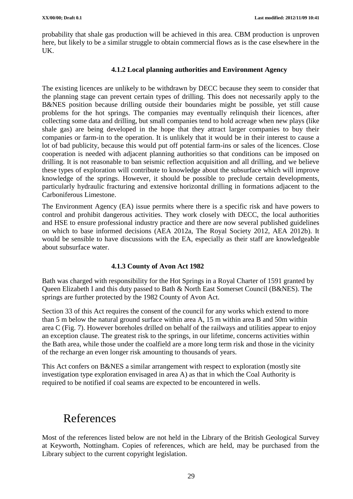probability that shale gas production will be achieved in this area. CBM production is unproven here, but likely to be a similar struggle to obtain commercial flows as is the case elsewhere in the UK.

#### **4.1.2 Local planning authorities and Environment Agency**

The existing licences are unlikely to be withdrawn by DECC because they seem to consider that the planning stage can prevent certain types of drilling. This does not necessarily apply to the B&NES position because drilling outside their boundaries might be possible, yet still cause problems for the hot springs. The companies may eventually relinquish their licences, after collecting some data and drilling, but small companies tend to hold acreage when new plays (like shale gas) are being developed in the hope that they attract larger companies to buy their companies or farm-in to the operation. It is unlikely that it would be in their interest to cause a lot of bad publicity, because this would put off potential farm-ins or sales of the licences. Close cooperation is needed with adjacent planning authorities so that conditions can be imposed on drilling. It is not reasonable to ban seismic reflection acquisition and all drilling, and we believe these types of exploration will contribute to knowledge about the subsurface which will improve knowledge of the springs. However, it should be possible to preclude certain developments, particularly hydraulic fracturing and extensive horizontal drilling in formations adjacent to the Carboniferous Limestone.

The Environment Agency (EA) issue permits where there is a specific risk and have powers to control and prohibit dangerous activities. They work closely with DECC, the local authorities and HSE to ensure professional industry practice and there are now several published guidelines on which to base informed decisions (AEA 2012a, The Royal Society 2012, AEA 2012b). It would be sensible to have discussions with the EA, especially as their staff are knowledgeable about subsurface water.

#### **4.1.3 County of Avon Act 1982**

Bath was charged with responsibility for the Hot Springs in a Royal Charter of 1591 granted by Queen Elizabeth I and this duty passed to Bath & North East Somerset Council (B&NES). The springs are further protected by the 1982 County of Avon Act.

Section 33 of this Act requires the consent of the council for any works which extend to more than 5 m below the natural ground surface within area A, 15 m within area B and 50m within area C (Fig. 7). However boreholes drilled on behalf of the railways and utilities appear to enjoy an exception clause. The greatest risk to the springs, in our lifetime, concerns activities within the Bath area, while those under the coalfield are a more long term risk and those in the vicinity of the recharge an even longer risk amounting to thousands of years.

This Act confers on B&NES a similar arrangement with respect to exploration (mostly site investigation type exploration envisaged in area A) as that in which the Coal Authority is required to be notified if coal seams are expected to be encountered in wells.

## References

Most of the references listed below are not held in the Library of the British Geological Survey at Keyworth, Nottingham. Copies of references, which are held, may be purchased from the Library subject to the current copyright legislation.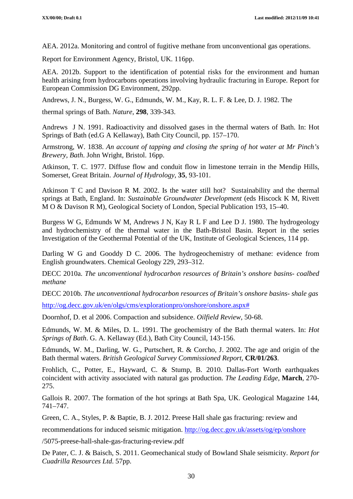AEA. 2012a. Monitoring and control of fugitive methane from unconventional gas operations.

Report for Environment Agency, Bristol, UK. 116pp.

AEA. 2012b. Support to the identification of potential risks for the environment and human health arising from hydrocarbons operations involving hydraulic fracturing in Europe. Report for European Commission DG Environment, 292pp.

Andrews, J. N., Burgess, W. G., Edmunds, W. M., Kay, R. L. F. & Lee, D. J. 1982. The

thermal springs of Bath. *Nature*, **298**, 339-343.

Andrews J N. 1991. Radioactivity and dissolved gases in the thermal waters of Bath. In: Hot Springs of Bath (ed.G A Kellaway), Bath City Council, pp. 157–170.

Armstrong, W. 1838. *An account of tapping and closing the spring of hot water at Mr Pinch's Brewery, Bath*. John Wright, Bristol. 16pp.

Atkinson, T. C. 1977. Diffuse flow and conduit flow in limestone terrain in the Mendip Hills, Somerset, Great Britain. *Journal of Hydrology*, **35**, 93-101.

Atkinson T C and Davison R M. 2002. Is the water still hot? Sustainability and the thermal springs at Bath, England. In: *Sustainable Groundwater Development* (eds Hiscock K M, Rivett M O & Davison R M), Geological Society of London, Special Publication 193, 15–40.

Burgess W G, Edmunds W M, Andrews J N, Kay R L F and Lee D J. 1980. The hydrogeology and hydrochemistry of the thermal water in the Bath-Bristol Basin. Report in the series Investigation of the Geothermal Potential of the UK, Institute of Geological Sciences, 114 pp.

Darling W G and Gooddy D C. 2006. The hydrogeochemistry of methane: evidence from English groundwaters. Chemical Geology 229, 293–312.

DECC 2010a. *The unconventional hydrocarbon resources of Britain's onshore basins- coalbed methane* 

DECC 2010b. *The unconventional hydrocarbon resources of Britain's onshore basins- shale gas*

[http://og.decc.gov.uk/en/olgs/cms/explorationpro/onshore/onshore.aspx#](http://og.decc.gov.uk/en/olgs/cms/explorationpro/onshore/onshore.aspx)

Doornhof, D. et al 2006. Compaction and subsidence. *Oilfield Review*, 50-68.

Edmunds, W. M. & Miles, D. L. 1991. The geochemistry of the Bath thermal waters. In: *Hot Springs of Bath*. G. A. Kellaway (Ed.), Bath City Council, 143-156.

Edmunds, W. M., Darling, W. G., Purtschert, R. & Corcho, J. 2002. The age and origin of the Bath thermal waters. *British Geological Survey Commissioned Report*, **CR/01/263**.

Frohlich, C., Potter, E., Hayward, C. & Stump, B. 2010. Dallas-Fort Worth earthquakes coincident with activity associated with natural gas production. *The Leading Edge*, **March**, 270- 275.

Gallois R. 2007. The formation of the hot springs at Bath Spa, UK. Geological Magazine 144, 741–747.

Green, C. A., Styles, P. & Baptie, B. J. 2012. Preese Hall shale gas fracturing: review and

recommendations for induced seismic mitigation.<http://og.decc.gov.uk/assets/og/ep/onshore>

/5075-preese-hall-shale-gas-fracturing-review.pdf

De Pater, C. J. & Baisch, S. 2011. Geomechanical study of Bowland Shale seismicity. *Report for Cuadrilla Resources Ltd*. 57pp.